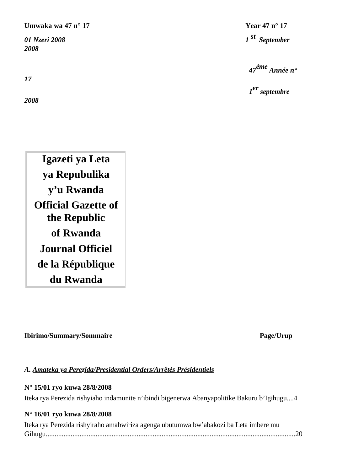**Umwaka wa 47 n° 17 Year 47 n° 17** 

*2008*

*17*

*2008*

*01 Nzeri 2008 1 st September* 

 *47ème Année n°* 

 *1er septembre* 

**Igazeti ya Leta ya Repubulika y'u Rwanda Official Gazette of the Republic of Rwanda Journal Officiel de la République du Rwanda**

**Ibirimo/Summary/Sommaire Page/Urup**

## *A. Amateka ya Perezida/Presidential Orders/Arrêtés Présidentiels*

## **N° 15/01 ryo kuwa 28/8/2008**

Iteka rya Perezida rishyiaho indamunite n'ibindi bigenerwa Abanyapolitike Bakuru b'Igihugu....4

# **N° 16/01 ryo kuwa 28/8/2008**

| Iteka rya Perezida rishyiraho amabwiriza agenga ubutumwa bw'abakozi ba Leta imbere mu |  |
|---------------------------------------------------------------------------------------|--|
|                                                                                       |  |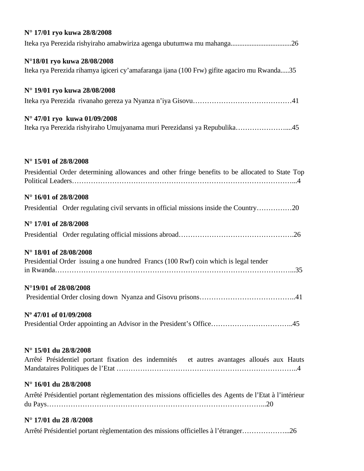| N° 17/01 ryo kuwa 28/8/2008                                                                            |
|--------------------------------------------------------------------------------------------------------|
| Iteka rya Perezida rishyiraho amabwiriza agenga ubutumwa mu mahanga26                                  |
| N°18/01 ryo kuwa 28/08/2008                                                                            |
| Iteka rya Perezida rihamya igiceri cy'amafaranga ijana (100 Frw) gifite agaciro mu Rwanda35            |
| N° 19/01 ryo kuwa 28/08/2008                                                                           |
|                                                                                                        |
| N° 47/01 ryo kuwa 01/09/2008                                                                           |
| Iteka rya Perezida rishyiraho Umujyanama muri Perezidansi ya Repubulika45                              |
| N° 15/01 of 28/8/2008                                                                                  |
| Presidential Order determining allowances and other fringe benefits to be allocated to State Top       |
| N° 16/01 of 28/8/2008                                                                                  |
| Presidential Order regulating civil servants in official missions inside the Country20                 |
| N° 17/01 of 28/8/2008                                                                                  |
|                                                                                                        |
| N° 18/01 of 28/08/2008                                                                                 |
| Presidential Order issuing a one hundred Francs (100 Rwf) coin which is legal tender                   |
|                                                                                                        |
| N°19/01 of 28/08/2008                                                                                  |
|                                                                                                        |
| N° 47/01 of 01/09/2008                                                                                 |
| Presidential Order appointing an Advisor in the President's Office45                                   |
| N° 15/01 du 28/8/2008                                                                                  |
| Arrêté Présidentiel portant fixation des indemnités et autres avantages alloués aux Hauts              |
|                                                                                                        |
| N° 16/01 du 28/8/2008                                                                                  |
| Arrêté Présidentiel portant règlementation des missions officielles des Agents de l'Etat à l'intérieur |
| N° 17/01 du 28/8/2008                                                                                  |
| Arrêté Présidentiel portant règlementation des missions officielles à l'étranger26                     |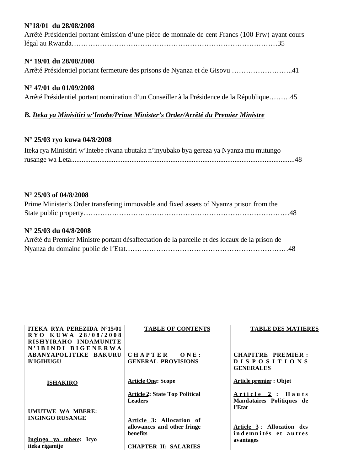## **N°18/01 du 28/08/2008**

| Arrêté Présidentiel portant émission d'une pièce de monnaie de cent Francs (100 Frw) ayant cours                                                                                                                             |
|------------------------------------------------------------------------------------------------------------------------------------------------------------------------------------------------------------------------------|
| $N^{\circ}$ 19/01 du 28/08/2008                                                                                                                                                                                              |
| Arrêté Présidentiel portant fermeture des prisons de Nyanza et de Gisovu 41                                                                                                                                                  |
| $N^{\circ}$ 47/01 du 01/09/2008                                                                                                                                                                                              |
| Arrêté Présidentiel portant nomination d'un Conseiller à la Présidence de la République45                                                                                                                                    |
| B. Iteka ya Minisitiri w'Intebe/Prime Minister's Order/Arrêté du Premier Ministre                                                                                                                                            |
| N° 25/03 ryo kuwa 04/8/2008                                                                                                                                                                                                  |
| $T_1$ 1 M/ $T_2$ $T_3$ $T_4$ $T_5$ $T_6$ $T_7$ $T_8$ $T_9$ $T_1$ $T_1$ $T_2$ $T_1$ $T_2$ $T_3$ $T_1$ $T_2$ $T_3$ $T_4$ $T_5$ $T_6$ $T_7$ $T_8$ $T_9$ $T_9$ $T_9$ $T_1$ $T_2$ $T_3$ $T_4$ $T_5$ $T_8$ $T_9$ $T_9$ $T_9$ $T_9$ |

| Iteka rya Minisitiri w'Intebe rivana ubutaka n'inyubako bya gereza ya Nyanza mu mutungo |  |
|-----------------------------------------------------------------------------------------|--|
|                                                                                         |  |

## **N° 25/03 of 04/8/2008**

| Prime Minister's Order transfering immovable and fixed assets of Nyanza prison from the |  |
|-----------------------------------------------------------------------------------------|--|
|                                                                                         |  |

## **N° 25/03 du 04/8/2008**

| Arrêté du Premier Ministre portant désaffectation de la parcelle et des locaux de la prison de |  |
|------------------------------------------------------------------------------------------------|--|
|                                                                                                |  |

| <b>ITEKA RYA PEREZIDA N°15/01</b>            | <b>TABLE OF CONTENTS</b>                                | <b>TABLE DES MATIERES</b>           |
|----------------------------------------------|---------------------------------------------------------|-------------------------------------|
| RYO KUWA 28/08/2008<br>RISHYIRAHO INDAMUNITE |                                                         |                                     |
| N'IBINDI BIGENERWA                           |                                                         |                                     |
| <b>ABANYAPOLITIKE BAKURU</b>                 | <b>CHAPTER</b><br>ONE:                                  | CHAPITRE PREMIER:                   |
| <b>B'IGIHUGU</b>                             | <b>GENERAL PROVISIONS</b>                               | <b>DISPOSITIONS</b>                 |
|                                              |                                                         | <b>GENERALES</b>                    |
| <b>ISHAKIRO</b>                              | <b>Article One: Scope</b>                               | <b>Article premier: Objet</b>       |
|                                              | <b>Article 2: State Top Political</b><br><b>Leaders</b> | Article 2: Hauts                    |
|                                              |                                                         | Mandataires Politiques de<br>l'Etat |
| UMUTWE WA MBERE:                             |                                                         |                                     |
| <b>INGINGO RUSANGE</b>                       | Article 3: Allocation of                                |                                     |
|                                              | allowances and other fringe                             | Article 3: Allocation des           |
|                                              | benefits                                                | indemnités et autres                |
| Ingingo ya mbere: Icyo<br>iteka rigamije     |                                                         | avantages                           |
|                                              | <b>CHAPTER II: SALARIES</b>                             |                                     |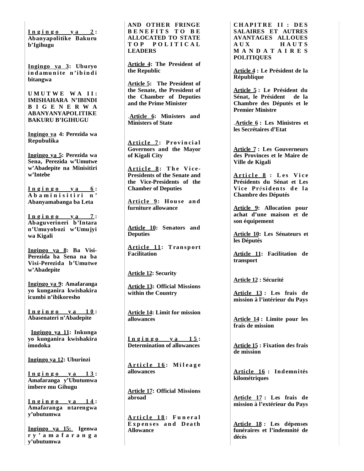**I n g i n g o y a 2 : Abanyapolitike Bakuru b'Igihugu**

**Ingingo ya 3: Uburyo**  indamunite n'ibindi **bitangwa**

**U M U T W E W A I I : IMISHAHARA N'IBINDI B I G E N E R W A ABANYANYAPOLITIKE BAKURU B'IGIHUGU**

**Ingingo ya 4: Perezida wa Repubulika**

**Ingingo ya 5: Perezida wa Sena, Perezida w'Umutwe w'Abadepite na Minisitiri w'Intebe**

**I n g i n g o y a 6 :**  A b a m i n i s i t i r i n ' **Abanyamabanga ba Leta**

 $Ingingo$   $ya$   $7$ : **Abaguverineri b'Intara n'Umuyobozi w'Umujyi wa Kigali**

**Ingingo ya 8: Ba Visi-Perezida ba Sena na ba Visi-Perezida b'Umutwe w'Abadepite**

**Ingingo ya 9: Amafaranga yo kunganira kwishakira icumbi n'ibikoresho**

**I n g i n g o y a 1 0 : Abasenateri n'Abadepite**

**Ingingo ya 11: Inkunga yo kunganira kwishakira imodoka**

**Ingingo ya 12: Uburinzi**

**I n g i n g o y a 1 3 : Amafaranga y'Ubutumwa imbere mu Gihugu**

**I n g i n g o y a 1 4 : Amafaranga ntarengwa y'ubutumwa**

**Ingingo ya 15: Igenwa r y ' a m a f a r a n g a y'ubutumwa**

**AND OTHER FRINGE B E N E F I T S T O B E ALLOCATED TO STATE T O P P O L I T I C A L LEADERS**

**Article 4: The President of the Republic**

**Article 5: The President of the Senate, the President of the Chamber of Deputies and the Prime Minister**

.**Article 6: Ministers and Ministers of State**

Article 7: Provincial **Governors and the Mayor of Kigali City**

Article 8: The Vice-**Presidents of the Senate and the Vice-Presidents of the Chamber of Deputies**

**Article 9: House and furniture allowance**

**Article 10: Senators and Deputies**

**Article 11: Transport Facilitation**

**Article 12: Security**

**Article 13: Official Missions within the Country**

**Article 14: Limit for mission allowances**

**I n g i n g o y a 1 5 : Determination of allowances**

**A r t i c l e 1 6 : M i l e a g e allowances**

**Article 17: Official Missions abroad**

**A r t i c l e 1 8 : F u n e r a l E x p en s es a n d Dea th Allowance**

**CHAPITRE II : DES SALAIRES ET AUTRES AVANTAGES ALLOUES A U X H A U T S M A N D A T A I R E S POLITIQUES**

**Article 4 : Le Président de la République**

**Article 5 : Le Président du Sénat, le Président de la Chambre des Députés et le Premier Ministre**

.**Article 6 : Les Ministres et les Secrétaires d'Etat**

**Article 7 : Les Gouverneurs des Provinces et le Maire de Ville de Kigali**

**A r t i c l e 8 : L e s V i c e Présidents du Sénat et Les Vice Présidents de la Chambre des Députés**

**Article 9: Allocation pour achat d'une maison et de son équipement**

**Article 10: Les Sénateurs et les Députés**

**Article 11: Facilitation de transport**

**Article 12 : Sécurité**

**Article 13 : Les frais de mission à l'intérieur du Pays**

**Article 14 : Limite pour les frais de mission**

**Article 15 : Fixation des frais de mission**

**Arti cl e 16 : Indemnités kilométriques**

**Article 17 : Les frais de mission à l'extérieur du Pays**

**Article 18 : Les dépenses funéraires et l'indemnité de décès**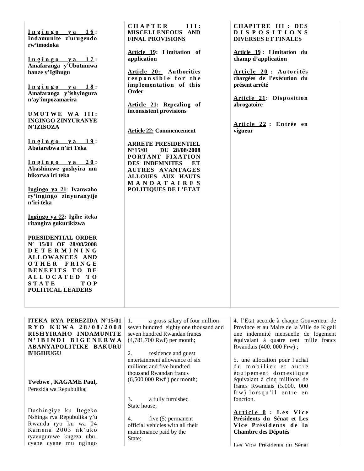| $Ingingo$ ya 16:<br>Indamunite z'urugendo<br>rw'imodoka<br>Ingingo ya 17:<br>Amafaranga y'Ubutumwa<br>hanze y'Igihugu<br>Ingingo ya 18:<br>Amafaranga y'ishyingura<br>n'ay'impozamarira<br>UMUTWE WA III:<br><b>INGINGO ZINYURANYE</b><br><b>N'IZISOZA</b><br><u>Ingingo ya 19:</u><br>Abatarebwa n'iri Teka<br>$Ingingo$ y a 20:<br>Abashinzwe gushyira mu<br>bikorwa iri teka<br>Ingingo ya 21: Ivanwaho<br>ry'ingingo zinyuranyije<br>n'iri teka | <b>CHAPTER</b><br>III:<br>MISCELLENEOUS AND<br><b>FINAL PROVISIONS</b><br>Article 19: Limitation of<br>application<br>Article 20: Authorities<br>responsible for the<br>implementation of this<br>Order<br>Article 21: Repealing of<br>inconsistent provisions<br><b>Article 22: Commencement</b><br><b>ARRETE PRESIDENTIEL</b><br>$N^{\circ}$ 15/01<br>DU 28/08/2008<br>PORTANT FIXATION<br><b>DES INDEMNITES</b><br>EТ<br><b>AUTRES AVANTAGES</b><br><b>ALLOUES AUX HAUTS</b><br>MANDATAIRES<br>POLITIQUES DE L'ETAT | CHAPITRE III : DES<br><b>DISPOSITIONS</b><br><b>DIVERSES ET FINALES</b><br>Article 19: Limitation du<br>champ d'application<br>Article 20 : Autorités<br>chargées de l'exécution du<br>présent arrêté<br>Article 21: Disposition<br>abrogatoire<br>Article 22 : Entrée en<br>vigueur |
|-----------------------------------------------------------------------------------------------------------------------------------------------------------------------------------------------------------------------------------------------------------------------------------------------------------------------------------------------------------------------------------------------------------------------------------------------------|------------------------------------------------------------------------------------------------------------------------------------------------------------------------------------------------------------------------------------------------------------------------------------------------------------------------------------------------------------------------------------------------------------------------------------------------------------------------------------------------------------------------|--------------------------------------------------------------------------------------------------------------------------------------------------------------------------------------------------------------------------------------------------------------------------------------|
| Ingingo ya 22: Igihe iteka<br>ritangira gukurikizwa<br>PRESIDENTIAL ORDER<br>N° 15/01 OF 28/08/2008<br>DETERMINING<br>ALLOWANCES AND<br>OTHER FRINGE<br><b>BENEFITS TO BE</b><br>ALLOCATED TO<br><b>STATE</b><br><b>TOP</b><br><b>POLITICAL LEADERS</b><br>ITEKA RYA PEREZIDA N°15/01<br>RYO KUWA 28/08/2008<br>RISHYIRAHO INDAMUNITE<br>N'IBINDI BIGENERWA                                                                                         | 1.<br>a gross salary of four million<br>seven hundred eighty one thousand and<br>seven hundred Rwandan francs<br>$(4,781,700$ Rwf) per month;                                                                                                                                                                                                                                                                                                                                                                          | 4. l'Etat accorde à chaque Gouverneur de<br>Province et au Maire de la Ville de Kigali<br>une indemnité mensuelle de logement<br>équivalant à quatre cent mille francs                                                                                                               |
| ABANYAPOLITIKE BAKURU<br><b>B'IGIHUGU</b>                                                                                                                                                                                                                                                                                                                                                                                                           | 2.<br>residence and guest                                                                                                                                                                                                                                                                                                                                                                                                                                                                                              | Rwandais (400. 000 Frw);                                                                                                                                                                                                                                                             |

entertainment allowance of six millions and five hundred thousand Rwandan francs (6,500,000 Rwf ) per month;

3. a fully furnished

4. five (5) permanent official vehicles with all their maintenance paid by the

State house;

State;

**Twebwe , KAGAME Paul,** Perezida wa Repubulika;

Dushingiye ku Itegeko Nshinga rya Repubulika y'u Rwanda ryo ku wa 04 Kamena 2003 nk'uko ryavuguruwe kugeza ubu, cyane cyane mu ngingo

5**.** une allocation pour l'achat du mobilier et autre équipement domestique équivalant à cinq millions de francs Rwandais (5.000. 000 frw) lorsqu'il entre en fonction.

**A r t i c l e 8 : L e s V i c e Présidents du Sénat et Les**  Vice Présidents de la **Chambre des Députés**

Les Vice Présidents du Sénat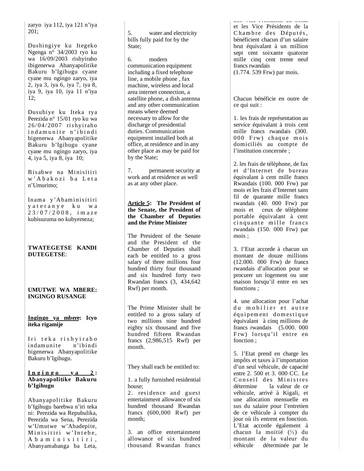zaryo iya 112, iya 121 n'iya 201;

Dushingiye ku Itegeko Ngenga n° 34/2003 ryo ku wa 16/09/2003 rishyiraho ibigenerwa Abanyapolitike Bakuru b'Igihugu cyane cyane mu ngingo zaryo, iya 2, iya 3, iya 6, iya 7, iya 8, iya 9, iya 10, iya 11 n'iya  $12$ :

Dusubiye ku Iteka rya Perezida n° 15/01 ryo ku wa 26/04/2007 rishyiraho ind a munite n'ibindi bigenerwa Abanyapolitike Bakuru b'Igihugu cyane cyane mu ngingo zaryo, iya 4, iya 5, iya 8, iya 10;

B isabwe na Minisitiri w' A b a k o z i b a L e t a n'Umurimo;

Inama y'Abaminisitiri y a t e r a n y e k u w a 2 3 / 0 7 / 2 0 0 8 , i m a z e kubisuzuma no kubyemeza;

#### **TWATEGETSE KANDI DUTEGETSE** :

#### **UMUTWE WA MBERE: INGINGO RUSANGE**

**Ingingo ya mbere: Icyo iteka rigamije**

Iri teka rishyiraho indamunite n'ibindi bigenerwa Abanyapolitike Bakuru b'Igihugu.

#### $I_n$   $g$   $i$   $h$   $g$   $o$   $y$   $a$   $2$  : **Abanyapolitike Bakuru b'Igihugu**

Abanyapolitike B akuru b'Igihugu barebwa n'iri teka ni: Perezida wa Repubulika, Perezida wa Sena, Perezida w'Umutwe w'Abadepite, Minisitiri w'Intebe, A b a m i n i s i t i r i . Aban yamaban g a ba Leta,

5. water and electricity bills fully paid for by the State:

6. modern communication equipment including a fixed telephone line, a mobile phone , fax machine, wireless and local area internet connection, a satellite phone, a dish antenna and any other communication means where deemed necessary to allow for the discharge of presidential duties. Communication equipment installed both at office, at residence and in any other place as may be paid for by the State;

7. permanent security at work and at residence as well as at any other place.

#### **Article 5: The President of the Senate, the President of the Chamber of Deputies and the Prime Minister**

The President of the Senate and the President of the Chamber of Deputies shall each be entitled to a gross salary of three millions four hundred thirty four thousand and six hundred forty two Rwandan francs (3, 434,642 Rwf) per month.

The Prime Minister shall be entitled to a gross salary of two millions nine hundred eighty six thousand and five hundred fifteen Rwandan francs (2,986,515 Rwf) per month.

They shall each be entitled to:

1. a fully furnished residential house;

2. residence and guest entertainment allowance of six hundred thousand Rwandan francs (600,000 Rwf) per month;

3. an office entertainment allowance of six hundred thousand Rwandan francs

Les Vice Présidents du Sénat et les Vice Présidents de la Chambre des Députés, bénéficient chacun d'un salaire brut équivalant à un million sept cent soixante quatorze mille cinq cent trente neuf francs rwandais (1.774. 539 Frw) par mois.

Chacun bénéficie en outre de ce qui suit :

1. les frais de représentation au service équivalant à trois cent mille francs rwandais (300. 000 Frw) chaque mois domiciliés au compte de l'institution concernée ;

2. les frais de téléphone, de fax et d'Internet de bureau équivalant à cent mille francs Rwandais (100. 000 Frw) par mois et les frais d'Internet sans fil de quarante mille francs rwandais (40. 000 Frw) par mois et ceux de téléphone portable équivalant à cent cinquante mille francs rwandais (150. 000 Frw) par mois ;

3. l'Etat accorde à chacun un montant de douze millions (12.000. 000 Frw) de francs rwandais d'allocation pour se procurer un logement ou une maison lorsqu'il entre en ses fonctions ;

4. une allocation pour l'achat du mobilier et autre équipement domestique équivalant à cinq millions de francs rwandais (5.000. 000 Frw) lorsqu'il entre en fonction ;

5. l'Etat prend en charge les impôts et taxes à l'importation d'un seul véhicule, de capacité entre 2. 500 et 3. 000 CC. Le Conseil des Ministres détermine la valeur de ce véhicule, arrivé à Kigali, et une allocation mensuelle en sus du salaire pour l'entretien de ce véhicule à compter du jour où ils entrent en fonction. L'Etat accorde également à chacun la moitié  $(\frac{1}{2})$  du montant de la valeur du véhicule déterminée par le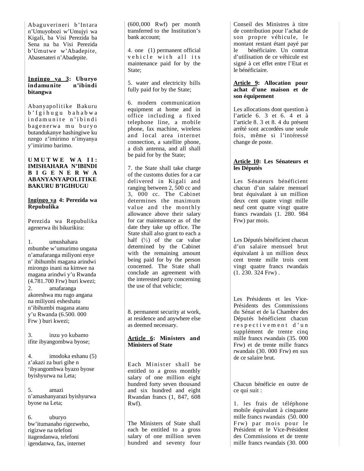Abaguverineri b'Intara n'Umuyobozi w'Umujyi wa Kigali, ba Visi Perezida ba Sena na ba Visi Perezida b'Umutwe w'Abadepite, Abasenateri n'Abadepite.

### **Ingingo ya 3: Uburyo indamunite n'ibindi bitangwa**

Abanyapolitike B akuru b' I g i hugu bahabwa indamunite n'ibindi bagenerwa mu buryo butandukanye hashingiwe ku nzego z'imirimo n'imyanya y'imirimo barimo.

#### **U M U T W E W A I I : IMISHAHARA N'IBINDI B I G E N E R W A ABANYANYAPOLITIKE BAKURU B'IGIHUGU**

#### **Ingingo ya 4: Perezida wa Repubulika**

Perezida wa Repubulika agenerwa ibi bikurikira:

1. umushahara mbumbe w'umurimo ungana n'amafaranga miliyoni enye n' ibihumbi magana arindwi mirongo inani na kimwe na magana arindwi y'u Rwanda (4.781.700 Frw) buri kwezi; 2. amafaranga akoreshwa mu rugo angana na miliyoni esheshatu n'ibihumbi magana atanu y'u Rwanda (6.500. 000 Frw ) buri kwezi;

3. inzu yo kubamo ifite ibyangombwa byose;

4. imodoka eshanu (5) z'akazi za buri gihe n 'ibyangombwa byazo byose byishyurwa na Leta;

5. amazi n'amashanyarazi byishyurwa byose na Leta;

6. uburyo bw'itumanaho rigezweho, rigizwe na telefoni itagendanwa, telefoni igendanwa, fax, internet

(600,000 Rwf) per month transferred to the Institution's bank account;

4. one (1) permanent official vehicle with all its maintenance paid for by the State:

5. water and electricity bills fully paid for by the State;

6. modern communication equipment at home and in office including a fixed telephone line, a mobile phone, fax machine, wireless and local area internet connection, a satellite phone, a dish antenna, and all shall be paid for by the State;

7. the State shall take charge of the customs duties for a car delivered in Kigali and ranging between 2, 500 cc and 3, 000 cc. The Cabinet determines the maximum value and the monthly allowance above their salary for car maintenance as of the date they take up office. The State shall also grant to each a half  $(\frac{1}{2})$  of the car value determined by the Cabinet with the remaining amount being paid for by the person concerned. The State shall conclude an agreement with the interested party concerning the use of that vehicle;

8. permanent security at work, at residence and anywhere else as deemed necessary.

#### **Article 6: Ministers and Ministers of State**

Each Minister shall be entitled to a gross monthly salary of one million eight hundred forty seven thousand and six hundred and eight Rwandan francs (1, 847, 608 Rwf).

The Ministers of State shall each be entitled to a gross salary of one million seven hundred and seventy four

Conseil des Ministres à titre de contribution pour l'achat de son propre véhicule, le montant restant étant payé par le bénéficiaire. Un contrat d'utilisation de ce véhicule est signé à cet effet entre l'Etat et le bénéficiaire.

#### **Article 9: Allocation pour achat d'une maison et de son équipement**

Les allocations dont question à l'article 6. 3 et 6. 4 et à l'article 8. 3 et 8. 4 du présent arrêté sont accordées une seule fois, même si l'intéressé change de poste.

## **Article 10: Les Sénateurs et les Députés**

Les Sénateurs bénéficient chacun d'un salaire mensuel brut équivalant à un million deux cent quatre vingt mille neuf cent quatre vingt quatre francs rwandais (1. 280. 984 Frw) par mois.

Les Députés bénéficient chacun d'un salaire mensuel brut équivalant à un million deux cent trente mille trois cent vingt quatre francs rwandais  $(1. 230. 324$  Frw).

Les Présidents et les Vice-Présidents des Commissions du Sénat et de la Chambre des Députés bénéficient chacun r e s p e c t i v e m e n t d'un supplément de trente cinq mille francs rwandais (35. 000 Frw) et de trente mille francs rwandais (30. 000 Frw) en sus de ce salaire brut.

Chacun bénéficie en outre de ce qui suit :

1. les frais de téléphone mobile équivalant à cinquante mille francs rwandais (50.000 Frw) par mois pour le Président et le Vice-Président des Commissions et de trente mille francs rwandais (30. 000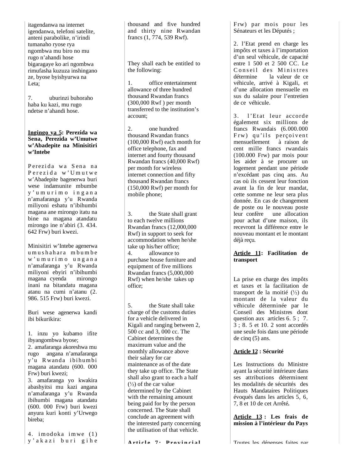itagendanwa na internet igendanwa, telefoni satelite, anteni parabolike, n'irindi tumanaho ryose rya ngombwa mu biro no mu rugo n'ahandi hose bigaragaye ko ari ngombwa rimufasha kuzuza inshingano ze, byose byishyurwa na Leta:

7. uburinzi buhoraho haba ku kazi, mu rugo ndetse n'ahandi hose.

#### **Ingingo ya 5: Perezida wa Sena, Perezida w'Umutwe w'Abadepite na Minisitiri w'Intebe**

Perezida wa Sena na Perezida w'Umutwe w'Abadepite bagenerwa buri wese indamunite mbumbe y ' u m u r i m o i n g a n a n'amafaranga y'u Rwanda miliyoni eshatu n'ibihumbi magana ane mirongo itatu na bine na magana atandatu mirongo ine n'abiri (3. 434. 642 Frw) buri kwezi.

Minisitiri w'Intebe agenerwa u m u s h a h a r a m b u m b e w ' u m u r i m o u n g a n a n'amafaranga y'u Rwanda miliyoni ebyiri n'ibihumbi magana cyenda inani na bitandatu magana atanu na cumi n'atanu (2. 986. 515 Frw) buri kwezi.

Buri wese agenerwa kandi ibi bikurikira:

1. inzu yo kubamo ifite ibyangombwa byose;

2. amafaranga akoreshwa mu rugo angana n'amafaranga y'u R wanda i bi hum bi magana atandatu (600. 000 Frw) buri kwezi;

3. amafaranga yo kwakira abashyitsi mu kazi angana n'amafaranga y'u Rwanda ibihumbi magana atandatu (600. 000 Frw) buri kwezi anyura kuri konti y'Urwego bireba;

4. imodoka imwe (1)<br>y'akazi buri gihe

thousand and five hundred and thirty nine Rwandan francs  $(1, 774, 539$  Rwf).

They shall each be entitled to the following:

1. office entertainment allowance of three hundred thousand Rwandan francs (300,000 Rwf ) per month transferred to the institution's account;

2. one hundred thousand Rwandan francs (100,000 Rwf) each month for office telephone, fax and internet and fourty thousand Rwandan francs (40,000 Rwf) per month for wireless internet connection and fifty thousand Rwandan francs (150,000 Rwf) per month for mobile phone;

3. the State shall grant to each twelve millions Rwandan francs (12,000,000 Rwf) in support to seek for accommodation when he/she take up his/her office; 4. allowance to purchase house furniture and equipment of five millions Rwandan francs (5,000,000 Rwf) when he/she takes up office;

5. the State shall take charge of the customs duties for a vehicle delivered in Kigali and ranging between 2, 500 cc and 3, 000 cc. The Cabinet determines the maximum value and the monthly allowance above their salary for car maintenance as of the date they take up office. The State shall also grant to each a half  $\binom{1}{2}$  of the car value determined by the Cabinet with the remaining amount being paid for by the person concerned. The State shall conclude an agreement with the interested party concerning the utilisation of that vehicle.

**Arti cl e 7 : P ro v i n ci a l** 

Frw) par mois pour les Sénateurs et les Députés ;

2. l'Etat prend en charge les impôts et taxes à l'importation d'un seul véhicule, de capacité entre 1 500 et 2 500 CC. Le Conseil des Ministres détermine la valeur de ce véhicule, arrivé à Kigali, et d'une allocation mensuelle en sus du salaire pour l'entretien de ce véhicule.

3. l'Etat leur accorde également six millions de francs Rwandais (6.000.000 Frw) qu'ils perçoivent mensuellement à raison de cent mille francs rwandais (100.000 Frw) par mois pour les aider à se procurer un logement pendant une période n'excédant pas cinq ans. Au cas où ils cessent leur fonction avant la fin de leur mandat, cette somme ne leur sera plus donnée. En cas de changement de poste ou le nouveau poste leur confère une allocation pour achat d'une maison, ils recevront la différence entre le nouveau montant et le montant déjà reçu *.*

## **A rti cle 11: Facilitation de transport**

La prise en charge des impôts et taxes et la facilitation de transport de la moitié  $(\frac{1}{2})$  du montant de la valeur du véhicule déterminée par le Conseil des Ministres dont question aux articles 6. 5 ; 7. 3 ; 8. 5 et 10. 2 sont accordés une seule fois dans une période de cinq (5) ans.

## **Article 12 : Sécurité**

Les Instructions du Ministre ayant la sécurité intérieure dans ses attributions déterminent les modalités de sécurités des Hauts Mandataires Politiques évoqués dans les articles 5, 6, 7, 8 et 10 de cet Arrêté *.*

**A r t i c le 13 : Les frais de mission à l'intérieur du Pays**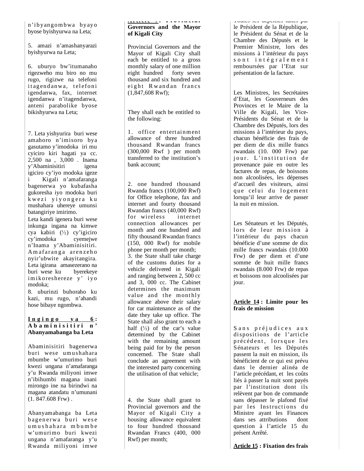n'i byangom bwa byayo byose byishyurwa na Leta;

5. amazi n'amashanyarazi byishyurwa na Leta;

6. uburyo bw'itumanaho rigezweho mu biro no mu rugo, rigizwe na telefoni it agendanwa, telefoni igendanwa, fax, internet igendanwa n'itagendanwa, anteni parabolike byose bikishyurwa na Leta;

7. Leta yishyurira buri wese amahoro n'imisoro bya gasutamo y'imodoka iri mu cyiciro kiri hagati ya cc. 2,500 na , 3,000 . Inama y'Abaminisitiri igena igiciro cy'iyo modoka igeze i Kigali n'amafaranga bagenerwa yo kubafasha gukoresha iyo modoka buri k wezi y iyongera ku mushahara uhereye umunsi batangiriye imirimo.

Leta kandi igenera buri wese inkunga ingana na kimwe cya kabiri  $\binom{1}{2}$  cy'igiciro cy'imodoka cyemejwe n'Inama y'Abaminisitiri. Amafaranga arenzeho nyir'ubwite akayitangira. Leta igirana amasezerano na buri wese ku byerekeye imikoreshereze y' iyo modoka;

8. uburinzi buhoraho ku kazi, mu rugo, n'ahandi hose bibaye ngombwa.

#### $I_n$   $g$   $i$   $h$   $g$   $o$   $y$   $a$   $6$  : A b a m i n i s i t i r i n<sup>,</sup> **Abanyamabanga ba Leta**

Abaminisitiri bagenerwa buri wese um ushahara mbumbe w'umurimo buri kwezi ungana n'amafaranga y'u Rwanda miliyoni imwe n'ibihumbi magana inani mirongo ine na birindwi na magana atandatu n'umunani (1. 847.608 Frw) .

Abanyamabanga ba Leta bagenerwa buri wese umushahara mbumbe w'umurimo buri kwezi ungana n'amafaranga y'u Rwanda mili yoni imwe

### **A r t i c l e 7 : P ro v i n ci a l Governors and the Mayor of Kigali City**

Provincial Governors and the Mayor of Kigali City shall each be entitled to a gross monthly salary of one million eight hundred forty seven thousand and six hundred and eight Rwandan francs (1,847,608 Rwf);

They shall each be entitled to the following:

1. office entertainment allowance of three hundred thousand Rwandan francs (300,000 Rwf ) per month transferred to the institution's bank account;

2. one hundred thousand Rwanda francs (100,000 Rwf) for Office telephone, fax and internet and fourty thousand Rwandan francs (40,000 Rwf) for wireless internet connection allowances per month and one hundred and fifty thousand Rwandan francs (150, 000 Rwf) for mobile phone per month per month; 3. the State shall take charge of the customs duties for a vehicle delivered in Kigali and ranging between 2, 500 cc and 3, 000 cc. The Cabinet determines the maximum value and the monthly allowance above their salary for car maintenance as of the date they take up office. The State shall also grant to each a half  $(\frac{1}{2})$  of the car's value determined by the Cabinet with the remaining amount being paid for by the person concerned. The State shall conclude an agreement with the interested party concerning the utilisation of that vehicle;

4. the State shall grant to Provincial governors and the Mayor of Kigali City a housing allowance equivalent to four hundred thousand Rwandan Francs (400, 000 Rwf) per month;

Toutes les dépenses faites par le Président de la République, le Président du Sénat et de la Chambre des Députés et le Premier Ministre, lors des missions à l'intérieur du pays s o n t i n t é g r a l e m e n t remboursées par l'Etat sur présentation de la facture.

Les Ministres, les Secrétaires d'Etat, les Gouverneurs des Provinces et le Maire de la Ville de Kigali, les Vice-Présidents du Sénat et de la Chambre des Députés, lors des missions à l'intérieur du pays, chacun bénéficie des frais de per diem de dix mille francs rwandais (10. 000 Frw) par jour. L'institution de provenance paie en outre les factures de repas, de boissons non alcoolisées, les dépenses d'accueil des visiteurs, ainsi que celui du logement lorsqu'il leur arrive de passer la nuit en mission.

Les Sénateurs et les Députés, lors de leur mission à l'intérieur du pays chacun bénéficie d'une somme de dix mille francs rwandais (10.000 Frw) de per diem et d'une somme de huit mille francs rwandais (8.000 Frw) de repas et boissons non alcoolisées par jour.

#### **Article 14 : Limite pour les frais de mission**

Sans préjudices aux dispositions de l'article précédent, lorsque les Sénateurs et les Députés passent la nuit en mission, ils bénéficient de ce qui est prévu dans le dernier alinéa de l'article précédant, et les coûts liés à passer la nuit sont payés par l'institution dont ils relèvent par bon de commande sans dépasser le plafond fixé par les Instructions du Ministre ayant les Finances dans ses attributions dont question à l'article 15 du présent Arrêté.

**Article 15 : Fixation des frais**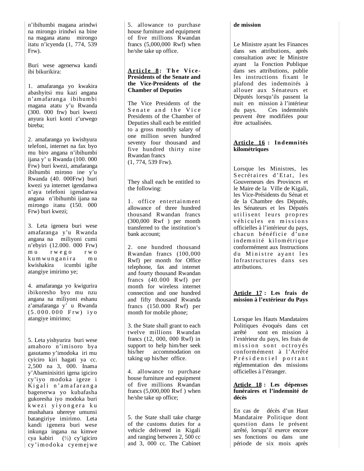n'ibihumbi magana arindwi na mirongo irindwi na bine na magana atanu mirongo itatu n'icyenda (1, 774, 539 Frw).

Buri wese agenerwa kandi ibi bikurikira:

1. amafaranga yo kwakira abashyitsi mu kazi angana n'amafaranga ibihumbi magana atatu y'u Rwanda (300. 000 frw) buri kwezi anyura kuri konti z'urwego bireba;

2. amafaranga yo kwishyura telefoni, internet na fax byo mu biro angana n'ibihumbi ijana y' u Rwanda (100. 000 Frw) buri kwezi, amafaranga ibihumbi mirono ine y'u Rwanda (40. 000Frw) buri kwezi ya internet igendanwa n'aya telefoni igendanwa angana n'ibihumbi ijana na mirongo itanu (150. 000 Frw) buri kwezi;

3. Leta igenera buri wese amafaranga y'u Rwanda angana na miliyoni cumi n'ebyiri (12.000. 000 Frw) mu r w e g o r w o kumwunganira mu kwishakira icumbi igihe atangiye imirimo ye;

4. amafaranga yo kwigurira ibikoresho byo mu nzu angana na miliyoni eshanu z'amafaranga y' u Rwanda (5 . 0 0 0 . 0 0 0 F rw ) i y o atangiye imirimo;

5. Leta yishyurira buri wese amahoro n'imisoro bya gasutamo y'imodoka iri mu cyiciro kiri hagati ya cc. 2,500 na 3, 000. Inama y'Abaminisitiri igena igiciro cy'iyo modoka igeze i Kigali n'amafaranga bagenerwa yo kubafasha gukoresha iyo modoka buri kwezi yiyongera ku mushahara uhereye umunsi batangiriye imirimo. Leta kandi igenera buri wese inkunga ingana na kimwe cya kabiri (½) cy'igiciro cy'imodoka cyemejwe

5. allowance to purchase house furniture and equipment of five millions Rwandan francs (5,000,000 Rwf) when he/she take up office.

## Article 8: The Vice-**Presidents of the Senate and the Vice-Presidents of the Chamber of Deputies**

The Vice Presidents of the Senate and the Vice Presidents of the Chamber of Deputies shall each be entitled to a gross monthly salary of one million seven hundred seventy four thousand and five hundred thirty nine Rwandan francs (1, 774, 539 Frw).

They shall each be entitled to the following:

1. office entertainment allowance of three hundred thousand Rwandan francs (300,000 Rwf ) per month transferred to the institution's bank account;

2. one hundred thousand Rwandan francs (100,000 Rwf) per month for Office telephone, fax and internet and fourty thousand Rwandan francs (40.000 Rwf) per month for wireless internet connection and one hundred and fifty thousand Rwanda francs (150.000 Rwf) per month for mobile phone;

3. the State shall grant to each twelve millions Rwandan francs (12, 000, 000 Rwf) in support to help him/her seek his/her accommodation on taking up his/her office.

4. allowance to purchase house furniture and equipment of five millions Rwandan francs (5,000,000 Rwf ) when he/she take up office;

5. the State shall take charge of the customs duties for a vehicle delivered in Kigali and ranging between 2, 500 cc and 3, 000 cc. The Cabinet

#### **de mission**

Le Ministre ayant les Finances dans ses attributions, après consultation avec le Ministre ayant la Fonction Publique dans ses attributions, publie les instructions fixant le plafond des indemnités à allouer aux Sénateurs et Députés lorsqu'ils passent la nuit en mission à l'intérieur du pays. Ces indemnités peuvent être modifiées pour être actualisées.

## Article 16 : Indemnités **kilométriques**

Lorsque les Ministres, les Secrétaires d'Etat, les Gouverneurs des Provinces et le Maire de la Ville de Kigali, les Vice-Présidents du Sénat et de la Chambre des Députés, les Sénateurs et les Députés utilisent leurs propres véhicules en missions officielles à l'intérieur du pays, chacun bénéficie d'une indemnité kilométrique conformément aux Instructions du Ministre ayant les Infrastructures dans ses attributions.

## **Article 17 : Les frais de mission à l'extérieur du Pays**

Lorsque les Hauts Mandataires Politiques évoqués dans cet arrêté sont en mission à l'extérieur du pays, les frais de mission sont octroyés conformément à l'Arrêté Présidentiel portant réglementation des missions officielles à l'étranger.

#### **Article 18 : Les dépenses funéraires et l'indemnité de décès**

En cas de décès d'un Haut Mandataire Politique dont question dans le présent arrêté, lorsqu'il exerce encore ses fonctions ou dans une période de six mois après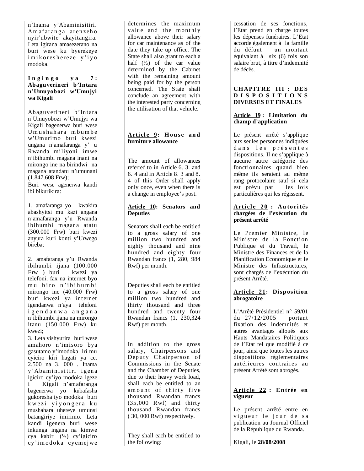n'Inama y'Abaminisitiri. A mafaranga arenzeho nyir'ubwite akayitangira. Leta igirana amasezerano na buri wese ku byerekeye imikoreshereze y'iyo modoka.

#### **I n g i n g o y a 7 : Abaguverineri b'Intara n'Umuyobozi w'Umujyi wa Kigali**

Abaguverineri b'Intara n'Umuyobozi w'Umujyi wa Kigali bagenerwa buri wese Umushahara mbumbe w'Umurimo buri kwezi ungana n'amafaranga y' u Rwanda miliyoni imwe n'ibihumbi magana inani na mirongo ine na birindwi na magana atandatu n'umunani (1.847.608 Frw);

Buri wese agenerwa kandi ibi bikurikira:

1. amafaranga yo kwakira abashyitsi mu kazi angana n'amafaranga y'u Rwanda ibihumbi magana atatu (300.000 Frw) buri kwezi anyura kuri konti y'Urwego bireba;

2. amafaranga y'u Rwanda ibihumbi ijana (100.000 Frw ) buri kwezi ya telefoni, fax na internet byo mu biro n'ibihumbi mirongo ine (40.000 Frw) buri kwezi ya internet igendanwa n'aya telefoni i g e n d a n w a a n g a n a n'ibihumbi ijana na mirongo itanu (150.000 Frw) ku kwezi;

3. Leta yishyurira buri wese amahoro n'imisoro bya gasutamo y'imodoka iri mu cyiciro kiri hagati ya cc. 2.500 na 3. 000 . Inama y'Abaminisitiri igena igiciro cy'iyo modoka igeze i Kigali n'amafaranga bagenerwa yo kubafasha gukoresha iyo modoka buri kwezi yiyongera ku mushahara uhereye umunsi batangiriye imirimo. Leta kandi igenera buri wese inkunga ingana na kimwe cya kabiri  $(\frac{1}{2})$  cy'igiciro cy'imodoka cyemejwe

determines the maximum value and the monthly allowance above their salary for car maintenance as of the date they take up office. The State shall also grant to each a half  $(\frac{1}{2})$  of the car value determined by the Cabinet with the remaining amount being paid for by the person concerned. The State shall conclude an agreement with the interested party concerning the utilisation of that vehicle.

## **Article 9: House and furniture allowance**

The amount of allowances referred to in Article 6. 3. and 6. 4 and in Article 8. 3 and 8. 4 of this Order shall apply only once, even when there is a change in employee's post.

## **Article 10: Senators and Deputies**

Senators shall each be entitled to a gross salary of one million two hundred and eighty thousand and nine hundred and eighty four Rwandan francs (1, 280, 984 Rwf) per month.

Deputies shall each be entitled to a gross salary of one million two hundred and thirty thousand and three hundred and twenty four Rwandan francs (1, 230,324 Rwf) per month.

In addition to the gross salary, Chairpersons and Deputy Chairperson of Commissions in the Senate and the Chamber of Deputies, due to their heavy work load, shall each be entitled to an amount of thirty five thousand Rwandan francs (35,000 Rwf) and thirty thousand Rwandan francs ( 30, 000 Rwf) respectively.

They shall each be entitled to the following:

cessation de ses fonctions, l'Etat prend en charge toutes les dépenses funéraires. L'Etat accorde également à la famille un montant équivalant à six (6) fois son salaire brut, à titre d'indemnité de décès.

## **CHAPITRE III : DES D I S P O S I T I O N S DIVERSES ET FINALES**

## **Article 19 : Limitation du champ d'application**

Le présent arrêté s'applique aux seules personnes indiquées d ans les présentes dispositions. Il ne s'applique à aucune autre catégorie des fonctionnaires quand bien même ils seraient au même rang protocolaire sauf si cela est prévu par les lois particulières qui les régissent.

#### **Arti cl e 2 0 : Au to ri tés chargées de l'exécution du présent arrêté**

Le Premier Ministre, le Ministre de la Fonction Publique et du Travail, le Ministre des Finances et de la Planification Economique et le Ministre des Infrastructures, sont chargés de l'exécution du présent Arrêté.

## **Article 21: Disposition abrogatoire**

L'Arrêté Présidentiel n° 59/01<br>du 27/12/2005 portant du  $27/12/2005$ fixation des indemnités et autres avantages alloués aux Hauts Mandataires Politiques de l'Etat tel que modifié à ce jour, ainsi que toutes les autres dispositions réglementaires antérieures contraires au présent Arrêté sont abrogés.

#### **Arti cl e 22 : E n trée en vigueur**

Le présent arrêté entre en vigueur le jour de sa publication au Journal Officiel de la République du Rwanda.

Kigali, le **28/08/2008**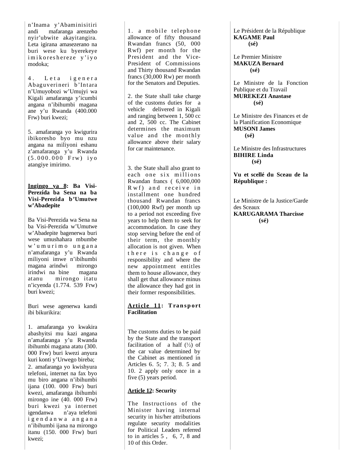n'Inama y'Abaminisitiri andi mafaranga arenzeho nyir'ubwite akayitangira. Leta igirana amasezerano na buri wese ku byerekeye imikoreshereze y'iyo modoka;

4. Leta igenera Abaguverineri b'Intara n'Umuyobozi w'Umujyi wa Kigali amafaranga y'icumbi angana n'ibihumbi magana ane y'u Rwanda (400.000 Frw) buri kwezi;

5. amafaranga yo kwigurira ibikoresho byo mu nzu angana na miliyoni eshanu z'amafaranga y'u Rwanda (5 . 0 0 0 . 0 0 0 F rw ) i y o atangiye imirimo.

#### **Ingingo ya 8: Ba Visi-Perezida ba Sena na ba Visi-Perezida b'Umutwe w'Abadepite**

Ba Visi-Perezida wa Sena na ba Visi-Perezida w'Umutwe w'Abadepite bagenerwa buri wese umushahara mbumbe w ' u m u r i m o u n g a n a n'amafaranga y'u Rwanda miliyoni imwe n'ibihumbi magana arindwi mirongo irindwi na bine magana atanu mirongo itatu n'icyenda (1.774. 539 Frw) buri kwezi;

Buri wese agenerwa kandi ibi bikurikira:

1. amafaranga yo kwakira abashyitsi mu kazi angana n'amafaranga y'u Rwanda ibihumbi magana atatu (300. 000 Frw) buri kwezi anyura kuri konti y'Urwego bireba; 2. amafaranga yo kwishyura telefoni, internet na fax byo mu biro angana n'ibihumbi ijana (100. 000 Frw) buri kwezi, amafaranga ibihumbi mirongo ine  $(40. 000$  Frw) buri kwezi ya internet n'aya telefoni i g e n d a n w a a n g a n a n'ibihumbi ijana na mirongo itanu (150. 000 Frw) buri kwezi;

1. a mobile telephone allowance of fifty thousand Rwandan francs (50, 000 Rwf) per month for the President and the Vice-President of Commissions and Thirty thousand Rwandan francs (30,000 Rw) per month for the Senators and Deputies.

2. the State shall take charge of the customs duties for a vehicle delivered in Kigali and ranging between 1, 500 cc and 2, 500 cc. The Cabinet determines the maximum value and the monthly allowance above their salary for car maintenance.

3. the State shall also grant to each one six millions Rwandan francs ( 6,000,000  $Rwf$ ) and receive in installment one hundred thousand Rwandan francs (100,000 Rwf) per month up to a period not exceeding five years to help them to seek for accommodation. In case they stop serving before the end of their term, the monthly allocation is not given. When there is change of responsibility and where the new appointment entitles them to house allowance, they shall get that allowance minus the allowance they had got in their former responsibilities.

#### **Article 11: Transport Facilitation**

The customs duties to be paid by the State and the transport facilitation of a half  $(\frac{1}{2})$  of the car value determined by the Cabinet as mentioned in Articles 6. 5; 7. 3; 8. 5 and 10. 2 apply only once in a five (5) years period.

## **Article 12: Security**

The Instructions of the Minister having internal security in his/her attributions regulate security modalities for Political Leaders referred to in articles 5 , 6, 7, 8 and 10 of this Order.

Le Président de la République **KAGAME Paul (sé)**

Le Premier Ministre **MAKUZA Bernard (sé)**

Le Ministre de la Fonction Publique et du Travail **MUREKEZI Anastase (sé)**

Le Ministre des Finances et de la Planification Economique **MUSONI James (sé)**

Le Ministre des Infrastructures **BIHIRE Linda (sé)**

**Vu et scellé du Sceau de la République :**

Le Ministre de la Justice/Garde des Sceaux **KARUGARAMA Tharcisse (sé)**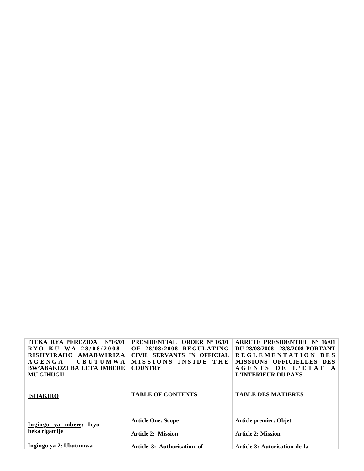| ITEKA RYA PEREZIDA<br>$N^{\circ}16/01$ | <b>PRESIDENTIAL ORDER N° 16/01</b> | ARRETE PRESIDENTIEL $N^{\circ}$ 16/01 |
|----------------------------------------|------------------------------------|---------------------------------------|
| RYO KU WA 28/08/2008                   | 28/08/2008 REGULATING<br>OF        | DU 28/08/2008 28/8/2008 PORTANT       |
| <b>RISHYIRAHO</b><br>AMABWIRIZA        | CIVIL SERVANTS IN OFFICIAL         | REGLEMENTATION DES                    |
| UBUTUMWA<br><b>AGENGA</b>              | MISSIONS INSIDE THE                | <b>MISSIONS OFFICIELLES DES</b>       |
| <b>BW'ABAKOZI BA LETA IMBERE</b>       | <b>COUNTRY</b>                     | AGENTS DE L'ETAT<br>$\mathbf{A}$      |
| <b>MU GIHUGU</b>                       |                                    | L'INTERIEUR DU PAYS                   |
| <b>ISHAKIRO</b>                        | <b>TABLE OF CONTENTS</b>           | <b>TABLE DES MATIERES</b>             |
| Ingingo ya mbere: Icyo                 | <b>Article One: Scope</b>          | <b>Article premier: Objet</b>         |
| iteka rigamije                         | <b>Article 2: Mission</b>          | <b>Article 2: Mission</b>             |
| Ingingo ya 2: Ubutumwa                 | Article 3: Authorisation of        | Article 3: Autorisation de la         |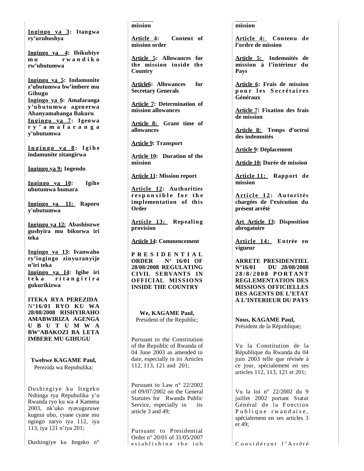**Ing ingo ya 3: Itangwa ry'uruhushya**

**Ingingo ya 4: Ibikubiye m u r w a n d i k o rw'ubutumwa**

**Ingingo ya 5: Indamunite z'ubutumwa bw'imbere mu Gihugu Ingingo ya 6: Amafaranga y'u b u tu mwa agen erwa Abanyamabanga Bakuru In gin go ya 7: Igen wa r y ' a m a f a r a n g a y'ubutumwa**

**I n g i n g o y a 8 : I g i h e indamunite zitangirwa**

**Ingingo ya 9: Ingendo**

**Ingingo ya 10: Igihe ubutumwa bumara**

**Ingingo ya 11: Raporo y'ubutumwa**

**Ingingo ya 12: Abashinzwe gushyira mu bikorwa iri teka**

**Ingingo ya 13: Ivanwaho ry'ingingo zinyuranyije n'iri teka Ingingo ya 14: Igihe iri t e k a r i t a n g i r i r a gukurikizwa**

**ITEKA RYA PEREZIDA**  N°**16/01 RYO KU WA 28/08/2008 RISHYIRAHO AMABWIRIZA AGENGA U B U T U M W A BW'ABAKOZI BA LETA IMBERE MU GIHUGU**

**Twebwe KAGAME Paul,** Perezida wa Repubulika;

Dushingiye ku Itegeko Nshinga rya Repubulika y'u Rwanda ryo ku wa 4 Kamena 2003, nk'uko ryavuguruwe kugeza ubu, cyane cyane mu ngingo zaryo iya 112, iya 113, iya 121 n'iya 201;

Dushingiye ku Itegeko n°

#### **mission**

**Article 4: Content of mission order**

**Article 5: Allowances for the mission inside the Country**

**Article6: Allowances for Secretary Generals**

**Article 7: Determination of mission allowances**

**Article 8: Grant time of allowances**

**Article 9: Transport**

**Article 10: Duration of the mission**

**Article 11: Mission report**

**Article 12: Authorities**  responsible for the **implementation of this Order**

**Article 1 3: Repealing provision**

**Article 14: Commencement**

**P R E S I D E N T I A L ORDER N° 16/01 OF 28/08/2008 REGULATING CIVIL SERVANTS IN OFFICIAL MISSIONS INSIDE THE COUNTRY**

**We, KAGAME Paul,** President of the Republic;

Pursuant to the Constitution of the Republic of Rwanda of 04 June 2003 as amended to date, especially in its Articles 112, 113, 121 and 201;

Pursuant to Law n° 22/2002 of 09/07/2002 on the General Statutes for Rwanda Public Service, especially in its article 3 and 49;

Pursuant to Presidential Order n° 20/01 of 31/05/2007 establishing the iob

#### **mission**

**Article 4: Contenu de l'ordre de mission**

**Article 5: Indemnités de mission à l'intérieur du Pays**

**Article 6: Frais de mission p o u r l e s S e c r é t a i r e s Généraux**

**Article 7: Fixation des frais de mission**

**Article 8: Temps d'octroi des indemnités**

**Article 9: Déplacement**

**Article 10: Durée de mission**

**Article 11: Rapport de mission**

**Ar ti c l e 1 2 : A u to ri tés chargées de l'exécution du présent arrêté**

**Art Article 13: Disposition abrogatoire**

**Article 14: Entrée en vigueur**

**ARRETE PRESIDENTIEL N°16/01 DU 28/08/2008 2 8 / 8 / 2 0 0 8 P O R T A N T REGLEMENTATION DES MISSIONS OFFICIELLES DES AGENTS DE L'ETAT A L'INTERIEUR DU PAYS**

**Nous, KAGAME Paul,** Président de la République;

Vu la Constitution de la République du Rwanda du 04 juin 2003 telle que révisée à ce jour, spécialement en ses articles 112, 113, 121 et 201;

Vu la loi n° 22/2002 du 9 juillet 2002 portant Statut Général de la Fonction Publique rwandaise, spécialement en ses articles 3 et 49;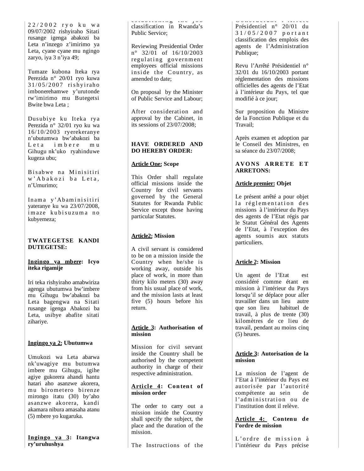2 2 / 2 0 0 2 r y o k u w a 09/07/2002 rishyiraho Sitati rusange igenga abakozi ba Leta n'inzego z'imirimo ya Leta, cyane cyane mu ngingo zaryo, iya 3 n'iya 49;

Tumaze kubona Iteka rya Perezida n° 20/01 ryo kuwa 31/ 05/ 2007 ri s hyi raho imbonerehamwe y'urutonde rw'imirimo mu Butegetsi Bwite bwa Leta ;

Dusubiye ku Iteka rya Perezida n° 32/01 ryo ku wa 16/10/2003 ryerekeranye n'ubutumwa bw'abakozi ba Leta imbere mu Gihugu nk'uko ryahinduwe kugeza ubu;

Bisabwe na Minisitiri w' A b a k o z i b a L e t a, n'Umurimo;

Inama y'Abaminisitiri yateranye ku wa 23/07/2008, imaze kubisuzuma no kubyemeza;

## **TWATEGETSE KANDI DUTEGETSE:**

#### **Ingingo ya m b e re: Icyo iteka rigamije**

Iri teka rishyiraho amabwiriza agenga ubutumwa bw'imbere mu Gihugu bw'abakozi ba Leta bagengwa na Sitati rusange igenga Abakozi ba Leta, usibye abafite sitati zihariye.

## **Ingingo ya 2: Ubutumwa**

Umukozi wa Leta abarwa nk'uwagiye mu butumwa imbere mu Gihugu, igihe agiye gukorera ahandi hantu hatari aho asanzwe akorera, mu birometero birenze mirongo itatu (30) by'aho asanzwe akorera, kandi akamara nibura amasaha atanu (5) mbere yo kugaruka.

#### **Ingingo ya 3: Itangwa ry'uruhushya**

es e s e s e j o b e j o b e j o b e j o b e j o b e j o b e j o b e j o b e j o b e j o b e j o b e classification in Rwanda's Public Service;

Reviewing Presidential Order n° 32/01 of 16/10/2003 regulating government employees official missions inside the Country, as amended to date;

On proposal by the Minister of Public Service and Labour;

After consideration and approval by the Cabinet, in its sessions of 23/07/2008;

## **HAVE ORDERED AND DO HEREBY ORDER:**

## **Article One: Scope**

This Order shall regulate official missions inside the Country for civil servants governed by the General Statutes for Rwanda Public Service except those having particular Statutes.

## **Article2: Mission**

A civil servant is considered to be on a mission inside the Country when he/she is working away, outside his place of work, in more than thirty kilo meters (30) away from his usual place of work, and the mission lasts at least five (5) hours before his return.

## **Article 3: Authorisation of mission**

Mission for civil servant inside the Country shall be authorised by the competent authority in charge of their respective administration.

## Article 4: Content of **mission order**

The order to carry out a mission inside the Country shall specify the subject, the place and the duration of the mission.

The Instructions of the

c o n s i d é r d n r Présidentiel n° 20/01 du 3 1 / 0 5 / 2 0 0 7 p o r t a n t classification des emplois des agents de l'Administration Publique;

Revu l'Arrêté Présidentiel n° 32/01 du 16/10/2003 portant réglementation des missions officielles des agents de l'Etat à l'intérieur du Pays, tel que modifié à ce jour;

Sur proposition du Ministre de la Fonction Publique et du Travail;

Après examen et adoption par le Conseil des Ministres, en sa séance du 23/07/2008;

## **AVONS ARRETE ET ARRETONS:**

## **Article premier: Objet**

Le présent arrêté a pour objet la réglementation des missions à l'intérieur du Pays des agents de l'Etat régis par le Statut Général des Agents de l'Etat, à l'exception des agents soumis aux statuts particuliers.

## **Article 2: Mission**

Un agent de l'Etat est considéré comme étant en mission à l'intérieur du Pays lorsqu'il se déplace pour aller travailler dans un lieu autre que son lieu habituel de travail, à plus de trente (30) kilomètres de ce lieu de travail, pendant au moins cinq (5) heures.

## **Article 3: Autorisation de la mission**

La mission de l'agent de l'Etat à l'intérieur du Pays est autorisée par l'autorité compétente au sein de l'administration ou de l'institution dont il relève.

## **Article 4: Contenu de l'ordre de mission**

L'ordre de mission à l'intérieur du Pays précise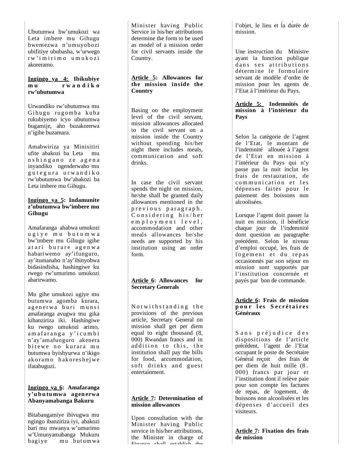Ubutumwa bw'umukozi wa Leta imbere mu Gihugu bwemezwa n'umuyobozi ubifitiye ububasha, w'urwego r w ' i m i r i m o u m u k o zi akoreramo.

## **Ingingo ya 4: Ibikubiye m u r w a n d i k o rw'ubutumwa**

Urwandiko rw'ubutumwa mu Gihugu rugomba kuba rukubiyemo icyo ubutumwa bugamije, aho buzakorerwa n'igihe buzamara.

Amabwiriza ya Minisitiri ufite abakozi ba Leta mu n s h i n g a n o z e a g e n a inyandiko ngenderwaho mu g u t e g u r a u r w a n d i k o rw'ubutumwa bw'abakozi ba Leta imbere mu Gihugu.

## **Ingingo ya 5: Indamunite z'ubutumwa bw'imbere mu Gihugu**

Amafaranga ahabwa umukozi u g i y e m u b u t u m w a bw'imbere mu Gihugu igihe atari burare agenwa habariwemo ay'ifunguro, ay'itumanaho n'ay'ibinyobwa bidasindisha, hashingiwe ku rwego rw'umurimo umukozi abarirwamo.

Mu gihe umukozi ugiye mu butumwa agomba kurara, agenerwa buri munsi amafaranga avugwa mu gika kibanziriza iki. Hashingiwe ku rwego umukozi arimo, am afaranga y'icumbi n'ay'amafunguro akenera bitewe no kurara mu butumwa byishyurwa n'ikigo ak oram o hak ores he jwe ifatabuguzi.

## **Ingingo ya 6: Amafaranga y'u b u tu mwa agen erwa Abanyamabanga Bakuru**

Bitabangamiye ibivugwa mu ngingo ibanziriza iyi, abakozi bari mu mwanya w'umurimo w'Umunyamabanga Mukuru ba g i y mu butumwa

Minister having Public Service in his/her attributions determine the form to be used as model of a mission order for civil servants inside the Country.

## **Article 5: Allowances for the mission inside the Country**

Basing on the employment level of the civil servant, mission allowances allocated to the civil servant on a mission inside the Country without spending his/her night there includes meals, communication and soft drinks.

In case the civil servant spends the night on mission, he/she shall be granted daily allowances mentioned in the previous paragraph.  $Considering his/her$ e m p l o y m e n t l e v e l, accommodation and other meals allowances he/she needs are supported by his institution using an order form.

#### **Article 6: Allowances for Secretary Generals**

Not with standing the provisions of the previous article, Secretary General on mission shall get per diem equal to eight thousand (8, 000) Rwandan francs and in addition to this, the institution shall pay the bills for food, accommodation, soft drinks and guest entertainment.

## **Article 7: Determination of mission allowances**

Upon consultation with the Minister having Public service in his/her attributions, the Minister in charge of Finance shall establish the

y programa de la programa de la programa de la programa de la programa de la programa de la programa de la pro<br>En 1970, en 1970, en 1970, en 1970, en 1970, en 1970, en 1970, en 1970, en 1970, en 1970, en 1970, en 1970, en l'objet, le lieu et la durée de mission.

Une instruction du Ministre ayant la fonction publique d ans ses attributions détermine le formulaire servant de modèle d'ordre de mission pour les agents de l'Etat à l'intérieur du Pays.

## **Article 5: Indemnités de mission à l'intérieur du Pays**

Selon la catégorie de l'agent de l'Etat, le montant de l'indemnité allouée à l'agent de l'Etat en mission à l'intérieur du Pays qui n'y passe pas la nuit inclut les frais de restauration, de communication et les dépenses faites pour le paiement des boissons non alcoolisées.

Lorsque l'agent doit passer la nuit en mission, il bénéficie chaque jour de l'indemnité dont question au paragraphe précédent. Selon le niveau d'emploi occupé, les frais de logement et du repas occasionnés par son séjour en mission sont supportés par l'institution concernée et payés par bon de commande.

## **Article 6: Frais de mission p o u r l e s S e c r é t a i r e s Généraux**

Sans préjudice des dispositions de l'article précédent, l'agent de l'Etat occupant le poste de Secrétaire Général reçoit des frais de per diem de huit mille (8 . 000) francs par jour et l'institution dont il relève paie pour son compte les factures de repas, de logement, de boissons non alcoolisées et les dépenses d'accueil des visiteurs.

### **Article 7: Fixation des frais de mission**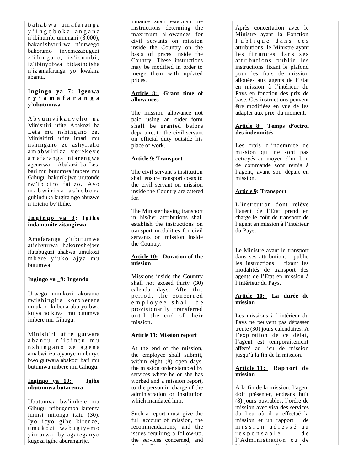b a h a b w a a m a f a r a n g a y ' i n g o b o k a a n g a n a n'ibihumbi umunani (8.000), bakanishyurirwa n'urwego bakoramo inyemezabuguzi z'ifunguro, iz'icumbi, iz'ibinyobwa bidasindisha n'iz'amafaranga yo kwakira abantu.

## **In gin go ya 7: Igen wa r y ' a m a f a r a n g a y'ubutumwa**

A b y u m v i k a n y e h o n a Minisitiri ufite Abakozi ba Leta mu nshingano ze, Minisititri ufite imari mu nshingano ze ashyiraho am a b w i r i z a y e r e k e y e am afaranga ntarengwa agenerwa Abakozi ba Leta bari mu butumwa imbere mu Gihugu hakurikijwe urutonde rw'ibiciro fatizo. Ayo m a b w i r i z a a s h o b o r a guhinduka kugira ngo ahuzwe n'ibiciro by'ibihe.

#### **I n g i n g o y a 8 : I g i h e indamunite zitangirwa**

Amafaranga y'ubutumwa atishyurwa hakoreshejwe ifatabuguzi ahabwa umukozi mbere y'uko ajya mu butumwa.

## **Ingingo ya \_9: Ingendo**

Urwego umukozi akoramo rwishingira korohereza umukozi kubona uburyo bwo kujya no kuva mu butumwa imbere mu Gihugu.

Minisitiri ufite gutwara abantu n'ibintu mu n s h i n g a n o z e a g e n a amabwiriza ajyanye n'uburyo bwo gutwara abakozi bari mu butumwa imbere mu Gihugu.

#### **Ingingo ya 10: Igihe ubutumwa butarenza**

Ubutumwa bw'imbere mu Gihugu ntibugomba kurenza iminsi mirongo itatu (30). Iyo icyo gihe kirenze, u m u k o zi w ab u g i y em o yimurwa by'agateganyo kugeza igihe aburangirije.

Finance shall establish the instructions determing the maximum allowances for civil servants on mission inside the Country on the basis of prices inside the Country. These instructions may be modified in order to merge them with updated prices.

## **Article 8: Grant time of allowances**

The mission allowance not paid using an order form shall be granted before departure, to the civil servant on official duty outside his place of work.

## **Article 9: Transport**

The civil servant's institution shall ensure transport costs to the civil servant on mission inside the Country are catered for.

The Minister having transport in his/her attributions shall establish the instructions on transport modalities for civil servants on mission inside the Country.

## **Article 10: Duration of the mission**

Missions inside the Country shall not exceed thirty (30) calendar days. After this period, the concerned employee shall be provisionarily transferred until the end of their mission.

## **Article 11: Mission report**

At the end of the mission, the employee shall submit, within eight (8) open days, the mission order stamped by services where he or she has worked and a mission report, to the person in charge of the administration or institution which mandated him.

Such a report must give the full account of mission, the recommendations, and the issues requiring a follow-up, the services concerned, and h di filmo di filmo di filmo di filmo di filmo di filmo di filmo di filmo di filmo di filmo di filmo di filmo<br>All'internazione di filmo di filmo di filmo di filmo di filmo di filmo di filmo di filmo di filmo di filmo di

Après concertation avec le Ministre ayant la Fonction Publique dans ces attributions, le Ministre ayant les finances dans ses attributions publie les instructions fixant le plafond pour les frais de mission allouées aux agents de l'Etat en mission à l'intérieur du Pays en fonction des prix de base. Ces instructions peuvent être modifiées en vue de les adapter aux prix du moment.

## **Article 8: Temps d'octroi des indemnités**

Les frais d'indemnité de mission qui ne sont pas octroyés au moyen d'un bon de commande sont remis à l'agent, avant son départ en mission.

## **Article 9: Transport**

L'institution dont relève l'agent de l'Etat prend en charge le coût de transport de l'agent en mission à l'intérieur du Pays.

Le Ministre ayant le transport dans ses attributions publie les instructions fixant les modalités de transport des agents de l'Etat en mission à l'intérieur du Pays.

## **Article 10: La durée de mission**

Les missions à l'intérieur du Pays ne peuvent pas dépasser trente (30) jours calendaires. A l'expiration de ce délai, l'agent est temporairement affecté au lieu de mission jusqu'à la fin de la mission.

## **Article 11: Rapport de mission**

A la fin de la mission, l'agent doit présenter, endéans huit (8) jours ouvrables, l'ordre de mission avec visa des services du lieu où il a effectué la mission et un rapport de mission adressé au r e s p o n s a b l e d e l'Administration ou de l'i i i i l' é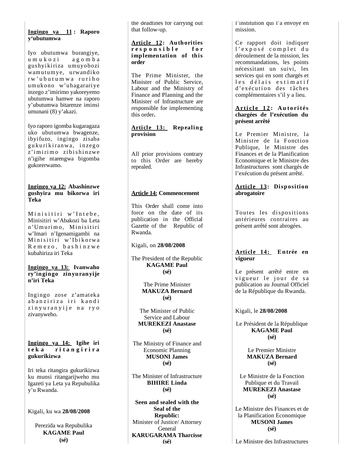## **Ingingo ya 11 : Raporo y'ubutumwa**

Iyo ubutumwa burangiye, u m u k o z i a g o m b a gushyikiriza umuyobozi wamutumye, urwandiko r w ' u b u t u m w a r u r i h o umukono w'uhagarariye inzego z'imirimo yakoreyemo ubutumwa hamwe na raporo y'ubutumwa bitarenze iminsi umunani (8) y'akazi.

Iyo raporo igomba kugaragaza uko ubutumwa bwagenze, ibyifuzo, ingingo zisaba gukuri ki ranwa, i nzego z'imirimo zibishinzwe n'igihe ntarengwa bigomba gukorerwamo.

## **Ingingo ya 12: Abashinzwe gushyira mu bikorwa iri Teka**

Minisitiri w'Intebe. Minisitiri w'Abakozi ba Leta n'Umurimo, Minisitiri w'Imari n'Igenamigambi na Minisitiri w'Ibikorwa R e m e z o , b a s h i n z w e kubahiriza iri Teka

#### **Ingingo ya 13: Ivanwaho ry'ingingo zinyuranyije n'iri Teka**

Ingingo zose z'amateka abanziriza iri kandi zinyuranyije na ryo zivanyweho.

**Ingingo ya 14: Igihe iri t e k a r i t a n g i r i r a gukurikizwa**

Iri teka ritangira gukurikizwa ku munsi ritangarijweho mu Igazeti ya Leta ya Repubulika y'u Rwanda.

Kigali, ku wa **28/08/2008** 

Perezida wa Repubulika **KAGAME Paul (sé)**

t h e deadlines for carry ing out that follow-up.

### **Article 12: Authorities r e s p o n s i b l e f o r implementation of this order**

The Prime Minister, the Minister of Public Service, Labour and the Ministry of Finance and Planning and the Minister of Infrastructure are responsible for implementing this order **.**

**A r t i c le 1 3: Repealing provision**

All prior provisions contrary to this Order are hereby repealed.

## **Article 14: Commencement**

This Order shall come into force on the date of its publication in the Official Gazette of the Republic of Rwanda.

Kigali, on **28/08/2008** 

The President of the Republic **KAGAME Paul (sé)**

> The Prime Minister **MAKUZA Bernard (sé)**

The Minister of Public Service and Labour **MUREKEZI Anastase (sé)**

The Ministry of Finance and Economic Planning **MUSONI James (sé)**

The Minister of Infrastructure **BIHIRE Linda (sé)**

**Seen and sealed with the Seal of the Republic:** Minister of Justice/ Attorney **General KARUGARAMA Tharcisse (sé)**

l'institution qui l'a envoyé en mission.

Ce rapport doit indiquer l'exposé complet du déroulement de la mission, les recommandations, les points nécessitant un suivi, les services qui en sont chargés et les délais estimatif d'exécution des tâches complémentaires s'il y a lieu.

#### **Ar ti c l e 1 2 : A u to ri tés chargées de l'exécution du présent arrêté**

Le Premier Ministre, la Ministre de la Fonction Publique, le Ministre des Finances et de la Planification Economique et le Ministre des Infrastructures sont chargés de l'exécution du présent arrêté.

## **Article 13: Disposition abrogatoire**

Toutes les dispositions antérieures contraires au présent arrêté sont abrogées.

## **Article 14: Entrée en vigueur**

Le présent arrêté entre en vigueur le jour de sa publication au Journal Officiel de la République du Rwanda.

Kigali, le **28/08/2008** 

Le Président de la République **KAGAME Paul (sé)**

> Le Premier Ministre **MAKUZA Bernard (sé)**

Le Ministre de la Fonction Publique et du Travail **MUREKEZI Anastase (sé)**

Le Ministre des Finances et de la Planification Economique **MUSONI James (sé)**

Le Ministre des Infrastructures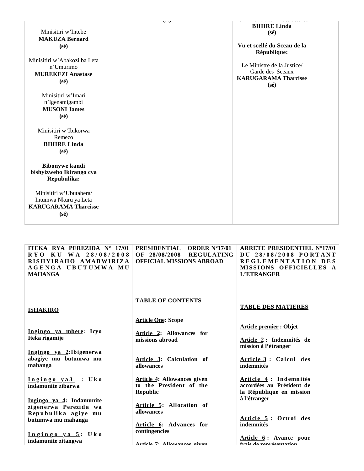| Minisitiri w'Intebe<br><b>MAKUZA Bernard</b><br>$(s\acute{e})$<br>Minisitiri w'Abakozi ba Leta<br>n'Umurimo<br><b>MUREKEZI Anastase</b><br>$(s\acute{e})$ | $\nabla^2 \geq 1$ | <b>BIHIRE Linda</b><br>$(s\acute{e})$<br>Vu et scellé du Sceau de la<br>République:<br>Le Ministre de la Justice/<br>Garde des Sceaux<br><b>KARUGARAMA Tharcisse</b><br>$(s\acute{e})$ |
|-----------------------------------------------------------------------------------------------------------------------------------------------------------|-------------------|----------------------------------------------------------------------------------------------------------------------------------------------------------------------------------------|
| Minisitiri w'Imari<br>n'Igenamigambi<br><b>MUSONI James</b><br>$(s\acute{e})$                                                                             |                   |                                                                                                                                                                                        |
| Minisitiri w'Ibikorwa<br>Remezo<br><b>BIHIRE Linda</b><br>$(s\acute{e})$                                                                                  |                   |                                                                                                                                                                                        |
| <b>Bibonywe kandi</b><br>bishyizweho Ikirango cya<br>Repubulika:                                                                                          |                   |                                                                                                                                                                                        |
| Minisitiri w'Ubutabera/<br>Intumwa Nkuru ya Leta<br><b>KARUGARAMA Tharcisse</b><br>$(s\acute{e})$                                                         |                   |                                                                                                                                                                                        |

| ITEKA RYA PEREZIDA N° 17/01<br>RYO KU WA 28/08/2008<br>RISHYIRAHO AMABWIRIZA<br>AGENGA UBUTUMWA MU<br><b>MAHANGA</b> | <b>PRESIDENTIAL</b><br>ORDER $N^{\circ}17/01$<br><b>REGULATING</b><br>OF 28/08/2008<br><b>OFFICIAL MISSIONS ABROAD</b> | <b>ARRETE PRESIDENTIEL N°17/01</b><br>DU 28/08/2008 PORTANT<br>REGLEMENTATION DES<br>MISSIONS OFFICIELLES A<br>L'ETRANGER |
|----------------------------------------------------------------------------------------------------------------------|------------------------------------------------------------------------------------------------------------------------|---------------------------------------------------------------------------------------------------------------------------|
| <b>ISHAKIRO</b>                                                                                                      | <b>TABLE OF CONTENTS</b>                                                                                               | <b>TABLE DES MATIERES</b>                                                                                                 |
| Ingingo ya mbere: Icyo<br>Iteka rigamije                                                                             | <b>Article One: Scope</b><br>Article 2: Allowances for<br>missions abroad                                              | <b>Article premier: Objet</b><br>Article 2 : Indemnités de<br>mission à l'étranger                                        |
| Ingingo ya 2: Ibigenerwa<br>abagiye mu butumwa mu<br>mahanga                                                         | Article 3: Calculation of<br>allowances                                                                                | Article 3: Calcul des<br>indemnités                                                                                       |
| Ingingo ya3 : Uko<br>indamunite zibarwa                                                                              | <b>Article 4: Allowances given</b><br>to the President of the<br><b>Republic</b>                                       | Article 4 : Indemnités<br>accordées au Président de<br>la République en mission                                           |
| Ingingo ya 4: Indamunite<br>zigenerwa Perezida wa<br>Repubulika agiye mu<br>butumwa mu mahanga                       | Article 5: Allocation of<br>allowances<br>Article 6: Advances for                                                      | à l'étranger<br>Article 5: Octroi des<br>indemnités                                                                       |
| Ingingo ya 5: Uko<br>indamunite zitangwa                                                                             | contingencies<br>Article 7. Allowances given                                                                           | Article 6: Avance pour<br>frois de représentation                                                                         |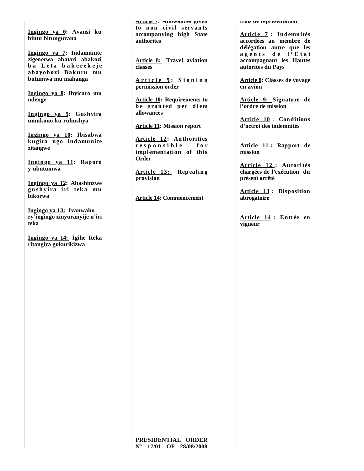**Ingingo ya 6: Avansi ku bintu bitungurana**

**Ingingo ya 7: Indamunite zigenerwa abatari abakozi ba** Leta baherekeje **abayobozi Bakuru mu butumwa mu mahanga**

**Ingingo ya 8: Ibyicaro mu ndenge**

**Ingingo ya 9: Gushyira umukono ku ruhushya**

**Ingingo ya 10: Ibisabwa kugira ngo indamunite zitangwe**

**Ingingo ya 11**: **Raporo y'ubutumwa**

**Ingingo ya 12: Abashinzwe gu sh yi ra i ri tek a mu bikorwa**

**Ingingo ya 13: Ivanwaho ry'ingingo zinyuranyije n'iri teka**

**Ingingo ya 14: Igihe Iteka ritangira gukurikizwa**

**Article 7: Allowances given**  to non civil servants **accompanying high State authorites**

**Article 8: Travel aviation classes** 

**A r t i c l e 9 : S i g n i n g permission order**

**Article 10: Requirements to b e g ra n ted p er d i em allowances**

**Article 11: Mission report**

**Article 12: Authorities r e s p o n s i b l e f o r implementation of this Order**

**Article 13: Repealing provision**

**Article 14: Commencement**

**frais de représentation**

**Article 7 : Indemnités accordées au membre de délégation autre que les a g e n t s d e l ' E t a t accompagnant les Hautes autorités du Pays**

**Article 8: Classes de voyage en avion**

**Article 9: Signature de l'ordre de mission**

**Article 10 : Conditions d'octroi des indemnités**

**Article 11 : Rapport de mission**

**Article 12: Autorités chargées de l'exécution du présent arrêté**

**Article 13 : Disposition abrogatoire**

**Article 14 : Entrée en vigueur**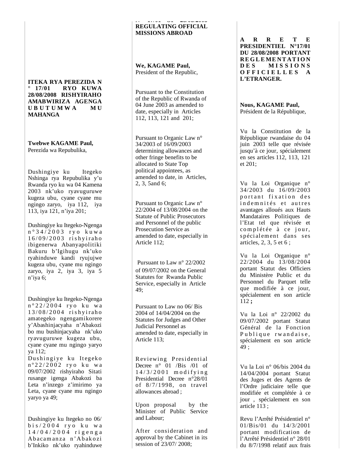#### **ITEKA RYA PEREZIDA N ° 17/01 RYO KUWA 28/08/2008 RISHYIRAHO AMABWIRIZA AGENGA U B U T U M W A M U MAHANGA**

**Twebwe KAGAME Paul,** Perezida wa Repubulika,

Dushingiye ku Itegeko Nshinga rya Repubulika y'u Rwanda ryo ku wa 04 Kamena 2003 nk'uko ryavuguruwe kugeza ubu, cyane cyane mu ngingo zaryo, iya 112, iya 113, iya 121, n'iya 201;

Dushingiye ku Itegeko-Ngenga n ° 3 4 / 2 0 0 3 r y o k u w a 1 6 / 0 9 / 2 0 0 3 ri s h y i rah o ibigenerwa Abanyapolitiki Bakuru b'Igihugu nk'uko ryahinduwe kandi ryujujwe kugeza ubu, cyane mu ngingo zaryo, iya 2, iya 3, iya 5 n'iya 6;

Dushingiye ku Itegeko-Ngenga n° 22/2004 ryo ku wa 1 3 / 0 8 / 2 0 0 4 ri s h y i rah o amategeko ngengamikorere y'Abashinjacyaha n'Abakozi bo mu bushinjacyaha nk'uko ryavuguruwe kugeza ubu, cyane cyane mu ngingo yaryo ya 112;

Dushingiye ku Itegeko n°22/2002 ryo ku wa 09/07/2002 rishyiraho Sitati rusange igenga Abakozi ba Leta n'inzego z'imirimo ya Leta, cyane cyane mu ngingo yaryo ya 49;

Dushingiye ku Itegeko no 06/ b i s / 2 0 0 4 r y o k u w a 1 4 / 0 4 / 2 0 0 4 r i g e n g a Ab acam an za n 'Ab ak o zi b'Inkiko nk'uko r yahinduwe

#### **N 17/01 OF 28/08/2008 REGULATING OFFICIAL MISSIONS ABROAD**

**We, KAGAME Paul,** President of the Republic,

Pursuant to the Constitution of the Republic of Rwanda of 04 June 2003 as amended to date, especially in Articles 112, 113, 121 and 201;

Pursuant to Organic Law n° 34/2003 of 16/09/2003 determining allowances and other fringe benefits to be allocated to State Top political appointees, as amended to date, in Articles, 2, 3, 5and 6;

Pursuant to Organic Law n° 22/2004 of 13/08/2004 on the Statute of Public Prosecutors and Personnel of the public Prosecution Service as amended to date, especially in Article 112;

Pursuant to Law n° 22/2002 of 09/07/2002 on the General Statutes for Rwanda Public Service, especially in Article 49;

Pursuant to Law no 06/ Bis 2004 of 14/04/2004 on the Statutes for Judges and Other Judicial Personnel as amended to date, especially in Article 113;

Reviewing Presidential Decree n° 01 /Bis /01 of  $14/3/2001$  modifying Presidential Decree n°28/01 of 8/7/1998, on travel allowances abroad ;

Upon proposal by the Minister of Public Service and Labour;

After consideration and approval by the Cabinet in its session of 23/07/ 2008;

**A R R E T E PRESIDENTIEL N°17/01 DU 28/08/2008 PORTANT RE G L E ME NT AT I O N D E S M I S S I O N S O F F I C I E L L E S A L'ETRANGER.**

#### **Nous, KAGAME Paul,** Président de la République,

Vu la Constitution de la République rwandaise du 04 juin 2003 telle que révisée jusqu'à ce jour, spécialement en ses articles 112, 113, 121 et 201;

Vu la Loi Organique n° 34/2003 du 16/09/2003 portant fixation des ind emnités et autres avantages alloués aux Hauts Mandataires Politiques de l'Etat tel que révisée et complétée à ce jour, spécialement dans ses articles, 2, 3, 5 et 6 ;

Vu la Loi Organique n° 22/2004 du 13/08/2004 portant Statut des Officiers du Ministère Public et du Personnel du Parquet telle que modifiée à ce jour, spécialement en son article 112 **;**

Vu la Loi n° 22/2002 du 09/07/2002 portant Statut Général de la Fonction Publique rwandaise, spécialement en son article 49 ;

Vu la Loi n° 06/bis 2004 du 14/04/2004 portant Statut des Juges et des Agents de l'Ordre judiciaire telle que modifiée et complétée à ce jour , spécialement en son article 113 ;

Revu l'Arrêté Présidentiel n° 01/Bis/01 du 14/3/2001 portant modification de l'Arrêté Présidentiel n° 28/01 du 8/7/1998 relatif aux frais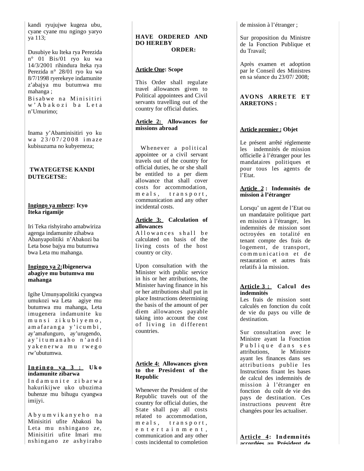kandi ryujujwe kugeza ubu, cyane cyane mu ngingo yaryo ya 113;

Dusubiye ku Iteka rya Perezida n° 01 Bis/01 ryo ku wa 14/3/2001 rihindura Iteka rya Perezida n° 28/01 ryo ku wa 8/7/1998 ryerekeye indamunite z'abajya mu butumwa mu mahanga ;

Bisabwe na Minisitiri w' A b a k o z i b a L e t a n'Umurimo;

Inama y'Abaminisitiri yo ku wa 23/07/2008 imaze kubisuzuma no kubyemeza;

## **TWATEGETSE KANDI DUTEGETSE:**

### **Ingingo ya mbere: Icyo Iteka rigamije**

Iri Teka rishyiraho amabwiriza agenga indamunite zihabwa Abanyapolitiki n'Abakozi ba Leta bose bajya mu butumwa bwa Leta mu mahanga.

## **Ingingo ya 2:Ibigenerwa abagiye mu butumwa mu mahanga**

Igihe Umunyapolitiki cyangwa umukozi wa Leta agiye mu butumwa mu mahanga, Leta imugenera indamunite ku munsi zikubiyemo, am af ar ang a y' i cumbi, ay'amafunguro, ay'urugendo, ay'itumanaho n'andi y a k e n e r w a m u r w e g o rw'ubutumwa.

#### **I n g i n g o y a 3 : Uk o indamunite zibarwa**

Indamunite zibarwa hakurikijwe uko ubuzima buhenze mu bihugu cyangwa imijyi.

A b y u m v i k a n y e h o n a Minisitiri ufite Abakozi ba Leta mu nshingano ze, Minisitiri ufite Imari mu nshin gano ze ash yiraho

#### **HAVE ORDERED AND DO HEREBY ORDER:**

## **Article One: Scope**

This Order shall regulate travel allowances given to Political appointees and Civil servants travelling out of the country for official duties.

## **Article 2: Allowances for missions abroad**

Whenever a political appointee or a civil servant travels out of the country for official duties, he or she shall be entitled to a per diem allowance that shall cover costs for accommodation, meals, transport, communication and any other incidental costs.

## **Article 3: Calculation of allowances**

Allowances shall be calculated on basis of the living costs of the host country or city.

Upon consultation with the Minister with public service in his or her attributions, the Minister having finance in his or her attributions shall put in place Instructions determining the basis of the amount of per diem allowances payable taking into account the cost of living in different countries.

## **Article 4: Allowances given to the President of the Republic**

Whenever the President of the Republic travels out of the country for official duties, the State shall pay all costs related to accommodation, meals, transport, e n t e r t a i n m e n t , communication and any other costs incidental to completion de mission à l'étranger ;

Sur proposition du Ministre de la Fonction Publique et du Travail;

Après examen et adoption par le Conseil des Ministres en sa séance du 23/07/ 2008;

## **AVONS ARRETE ET ARRETONS :**

## **Article premier : Objet**

Le présent arrêté réglemente les indemnités de mission officielle à l'étranger pour les mandataires politiques et pour tous les agents de l'Etat.

#### **Article 2 : Indemnités de mission à l'étranger**

Lorsqu' un agent de l'Etat ou un mandataire politique part en mission à l'étranger, les indemnités de mission sont octroyées en totalité en tenant compte des frais de logement, de transport, communication et de restauration et autres frais relatifs à la mission.

#### **Article 3 : Calcul des indemnités**

Les frais de mission sont calculés en fonction du coût de vie du pays ou ville de destination.

Sur consultation avec le Ministre ayant la Fonction Publique dans ses attributions, le Ministre ayant les finances dans ses attributions publie les Instructions fixant les bases de calcul des indemnités de mission à l'étranger en fonction du coût de vie des pays de destination. Ces instructions peuvent être changées pour les actualiser.

**Article 4: Indemnités accordées au Président de**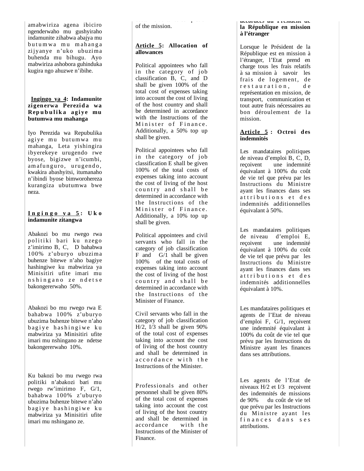amabwiriza agena ibiciro ngenderwaho mu gushyiraho indamunite zihabwa abajya mu butumwa mu mahanga zijyanye n'uko ubuzima buhenda mu bihugu. Ayo mabwiriza ashobora guhinduka kugira ngo ahuzwe n'ibihe.

#### **Ingingo ya 4: Indamunite zigenerwa Perezida wa Rep u b u l i k a a g i y e mu butumwa mu mahanga**

Iyo Perezida wa Repubulika agiye mu butumwa mu mahanga, Leta yishingira ibyerekeye urugendo rwe byose, bigizwe n'icumbi, am afunguro, urugendo, kwakira abashyitsi, itumanaho n'ibindi byose bimworohereza kurangiza ubutumwa bwe neza.

#### **I n g i n g o y a 5 : U k o indamunite zitangwa**

Abakozi bo mu rwego rwa politiki bari ku nzego z'imirimo B, C, D bahabwa 100% z'uburyo ubuzima buhenze bitewe n'aho bagiye hashingiwe ku mabwiriza ya Minisitiri ufite imari mu n shingano ze ndet se bakongererwaho 50%.

Abakozi bo mu rwego rwa E bahabwa 100% z'uburyo ubuzima buhenze bitewe n'aho bagiye hashingiwe ku mabwiriza ya Minisitiri ufite imari mu nshingano ze ndetse bakongererwaho 10%.

Ku bakozi bo mu rwego rwa politiki n'abakozi bari mu rwego rw'imirimo F, G/1, bahabwa 100% z'uburyo ubuzima buhenze bitewe n'aho bagiye hashingiwe ku mabwiriza ya Minisitiri ufite imari mu nshingano ze.

costs incidental to completion of the mission.

## **Article 5: Allocation of allowances**

Political appointees who fall in the category of job classification B, C, and D shall be given 100% of the total cost of expenses taking into account the cost of living of the host country and shall be determined in accordance with the Instructions of the Minister of Finance. Additionally, a 50% top up shall be given.

Political appointees who fall in the category of job classification E shall be given 100% of the total costs of expenses taking into account the cost of living of the host country and shall be determined in accordance with the Instructions of the Minister of Finance. Additionally, a 10% top up shall be given.

Political appointees and civil servants who fall in the category of job classification  $F$  and  $G/I$  shall be given 100% of the total costs of expenses taking into account the cost of living of the host country and shall be determined in accordance with the Instructions of the Minister of Finance.

Civil servants who fall in the category of job classification H/2, I/3 shall be given 90% of the total cost of expenses taking into account the cost of living of the host country and shall be determined in accordance with the Instructions of the Minister.

Professionals and other personnel shall be given 80% of the total cost of expenses taking into account the cost of living of the host country and shall be determined in<br>accordance with the accordance Instructions of the Minister of Finance.

#### **accordées au Président de la République en mission à l'étranger**

Lorsque le Président de la République est en mission à l'étranger, l'Etat prend en charge tous les frais relatifs à sa mission à savoir les frais de logement, de restauration, de représentation en mission, de transport, communication et tout autre frais nécessaires au bon déroulement de la mission.

## **Article 5 : Octroi des indemnités**

Les mandataires politiques de niveau d'emploi B, C, D, reçoivent une indemnité équivalant à 100% du coût de vie tel que prévu par les Instructions du Ministre ayant les finances dans ses attributions et des indemnités additionnelles équivalant à 50%.

Les mandataires politiques de niveau d'emploi E, reçoivent une indemnité équivalant à 100% du coût de vie tel que prévu par les Instructions du Ministre ayant les finances dans ses attributions et des indemnités additionnelles équivalant à 10%.

Les mandataires politiques et agents de l'Etat de niveau d'emploi F, G/1, reçoivent une indemnité équivalant à 100% du coût de vie tel que prévu par les Instructions du Ministre ayant les finances dans ses attributions.

Les agents de l'Etat de niveaux H/2 et I/3 reçoivent des indemnités de missions<br>de 90% du coût de vie tel du coût de vie tel que prévu par les Instructions du Ministre ayant les finances dans ses attributions.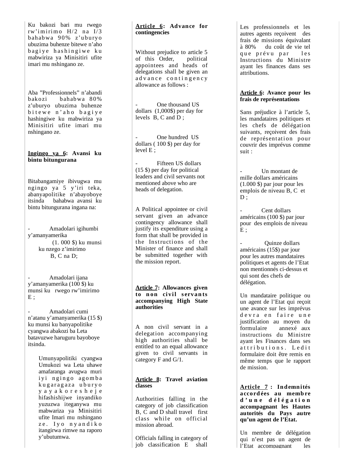Ku bakozi bari mu rwego rw'imirimo  $H/2$  na  $I/3$ bahabwa 90% z'uburyo ubuzima buhenze bitewe n'aho bagiye hashingiwe ku mabwiriza ya Minisitiri ufite imari mu nshingano ze.

Aba "Professionnels" n'abandi bakozi bahabwa 80% z'uburyo ubuzima buhenze bitewe n'aho bagiye hashingiwe ku mabwiriza ya Minisitiri ufite imari mu nshingano ze.

#### **Ingingo ya 6: Avansi ku bintu bitungurana**

Bitabangamiye ibivugwa mu ngingo ya 5 y'iri teka, abanyapolitike n'abayoboye itsinda bahabwa avansi ku bintu bitungurana ingana na:

- Amadolari igihumbi y'amanyamerika (1. 000 \$) ku munsi ku nzego z'imirimo B, C na D;

- Amadolari ijana y'amanyamerika (100 \$) ku munsi ku rwego rw'imirimo  $E$ ;

- Amadolari cumi n'atanu y'amanyamerika (15 \$) ku munsi ku banyapolitike cyangwa abakozi ba Leta batavuzwe haruguru bayoboye itsinda.

> Umunyapolitiki cyangwa Umukozi wa Leta uhawe amafaranga avugwa muri iyi ngingo agomba kugaragaza uburyo y a y a k o r e s h e j e hifashishijwe inyandiko yuzuzwa iteganywa mu mabwariza ya Minisitiri ufite Imari mu nshingano ze. Ivo nyandiko itangirwa rimwe na raporo y'ubutumwa.

## **A r t i c le 6: Advance for contingencies**

Without prejudice to article 5<br>of this Order, political of this Order, appointees and heads of delegations shall be given an ad vance contingency allowance as follows :

One thousand US dollars (1,000\$) per day for levels  $\overrightarrow{B}$ ,  $\overrightarrow{C}$  and  $\overrightarrow{D}$ ;

One hundred US dollars ( 100 \$) per day for level E ;

Fifteen US dollars (15 \$) per day for political leaders and civil servants not mentioned above who are heads of delegation.

A Political appointee or civil servant given an advance contingency allowance shall justify its expenditure using a form that shall be provided in the Instructions of the Minister of finance and shall be submitted together with the mission report.

## **Article 7: Allowances given**  to non civil servants **accompanying High State authorities**

A non civil servant in a delegation accompanying high authorities shall be entitled to an equal allowance given to civil servants in category F and G/1.

## **Article 8: Travel aviation classes**

Authorities falling in the category of job classification B, C and D shall travel first class while on official mission abroad.

Officials falling in category of job classification E shall

Les professionnels et les autres agents reçoivent des frais de missions équivalant à 80% du coût de vie tel que prévu par les Instructions du Ministre ayant les finances dans ses attributions.

## **Article 6: Avance pour les frais de représentations**

Sans préjudice à l'article 5, les mandataires politiques et les chefs de délégation suivants, reçoivent des frais de représentation pour couvrir des imprévus comme suit :

Un montant de mille dollars américains (1.000 \$) par jour pour les emplois de niveau B, C et  $D$  ;

Cent dollars américains (100 \$) par jour pour des emplois de niveau  $E$ :

Ouinze dollars américains (15\$) par jour pour les autres mandataires politiques et agents de l'Etat non mentionnés ci-dessus et qui sont des chefs de délégation.

Un mandataire politique ou un agent de l'Etat qui reçoit une avance sur les imprévus devra en faire une justification au moyen du formulaire annexé aux instructions du Ministre ayant les Finances dans ses attributions. Ledit formulaire doit être remis en même temps que le rapport de mission.

**Article 7 : Indemnités accord ées au memb re d ' u n e d é l é g a t i o n accompagnant les Hautes autorités du Pays autre qu'un agent de l'Etat.**

Un membre de délégation qui n'est pas un agent de l'Etat accompagnant les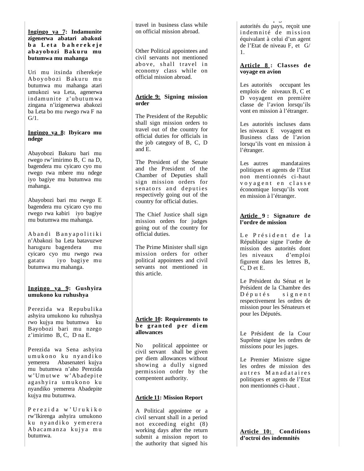### **Ingingo ya 7: Indamunite zigenerwa abatari abakozi ba** Leta baherekeje **abayobozi Bakuru mu butumwa mu mahanga**

Uri mu itsinda riherekeje Aboyobozi Bakuru mu butumwa mu mahanga atari umukozi wa Leta, agenerwa indamunite z'ubutumwa zingana n'izigenerwa abakozi ba Leta bo mu rwego rwa F na  $G/1$ .

## **Ingingo ya 8: Ibyicaro mu ndege**

Abayobozi Bakuru bari mu rwego rw'imirimo B, C na D, bagendera mu cyicaro cyo mu rwego rwa mbere mu ndege iyo bagiye mu butumwa mu mahanga.

Abayobozi bari mu rwego E bagendera mu cyicaro cyo mu rwego rwa kabiri iyo bagiye mu butumwa mu mahanga.

Abandi Banyapolitiki n'Abakozi ba Leta batavuzwe haruguru bagendera mu cyicaro cyo mu rwego rwa gatatu iyo bagiye mu butumwa mu mahanga.

#### **Ingingo ya 9: Gushyira umukono ku ruhushya**

Perezida wa Repubulika ashyira umukono ku ruhushya rwo kujya mu butumwa ku Bayobozi bari mu nzego z'imirimo B, C, D na E.

Perezida wa Sena ashyira u mukono ku nyandiko yemerera Abasenateri kujya mu butumwa n'aho Perezida w'Umutwe w'Abadepite agashyira umukono ku nyandiko yemerera Abadepite kujya mu butumwa.

Perezida w'Urukiko rw'Ikirenga ashyira umukono ku nyandiko yemerera Abacamanza kujya mu butumwa.

travel in business class while on official mission abroad.

Other Political appointees and civil servants not mentioned above, shall travel in economy class while on official mission abroad.

## **Article 9: Signing mission order**

The President of the Republic shall sign mission orders to travel out of the country for official duties for officials in the job category of B, C, D and E.

The President of the Senate and the President of the Chamber of Deputies shall sign mission orders for senators and deputies respectively going out of the country for official duties.

The Chief Justice shall sign mission orders for judges going out of the country for official duties.

The Prime Minister shall sign mission orders for other political appointees and civil servants not mentioned in this article.

## **Article 10: Requirements to b e g ra n ted p er d i em allowances**

No political appointee or civil servant shall be given per diem allowances without showing a dully signed permission order by the compentent authority.

## **Article 11: Mission Report**

A Political appointee or a civil servant shall in a period not exceeding eight (8) working days after the return submit a mission report to the authorit y that si gned his

l Etat accompagnant les la compagnant les la compagnant les la compagnant les la compagnant les la compagnant<br>Les la compagnant les la compagnant les la compagnant les la compagnant les la compagnant les la compagnant le autorités du pays, reçoit une indemnité de mission équivalant à celui d'un agent de l'Etat de niveau F, et G/ 1.

#### **A r t i c le 8 : Classes d e voyage en avion**

Les autorités occupant les emplois de niveaux B, C et D voyagent en première classe de l'avion lorsqu'ils vont en mission à l'étranger.

Les autorités incluses dans les niveaux E voyagent en Business class de l'avion lorsqu'ils vont en mission à l'étranger.

Les autres mandataires politiques et agents de l'Etat non mentionnés ci-haut voyagent en classe économique lorsqu'ils vont en mission à l'étranger.

## **Article 9 : Signature de l'ordre de mission**

Le Président de la République signe l'ordre de mission des autorités dont<br>les niveaux d'emploi les niveaux figurent dans les lettres B, C, D et E.

Le Président du Sénat et le Président de la Chambre des<br>Députés signent s i g n e n t respectivement les ordres de mission pour les Sénateurs et pour les Députés.

Le Président de la Cour Suprême signe les ordres de missions pour les juges.

Le Premier Ministre signe les ordres de mission des autres Manadataires politiques et agents de l'Etat non mentionnés ci-haut .

**Article 10: Conditions d'octroi des indemnités**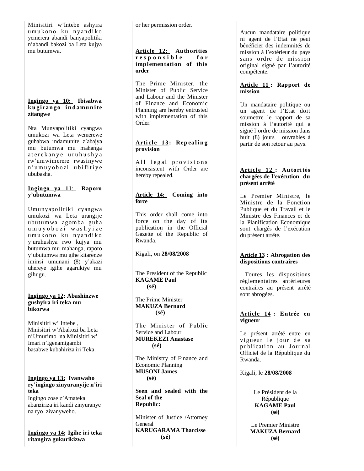Minisitiri w'Intebe ashyira u mukono ku nyandiko yemerera abandi banyapolitiki n'abandi bakozi ba Leta kujya mu butumwa.

#### **Ingingo ya 10: Ibisabwa k u gi ran go i n d amu n i te zitangwe**

Nta Munyapolitiki cyangwa umukozi wa Leta wemerewe guhabwa indamunite z'abajya mu butumwa mu mahanga at er ek an y e uruhushya rw'umwimerere rwasinywe n'um uyobozi ubifitiye ububasha.

## **Ingingo ya 1 1**: **Raporo y'ubutumwa**

Umunyapolitiki cyangwa umukozi wa Leta urangije ubutumwa agomba guha u m u y o b o z i w a s h y i z e u mukono ku nyandiko y'uruhushya rwo kujya mu butumwa mu mahanga, raporo y'ubutumwa mu gihe kitarenze iminsi umunani (8) y'akazi uhereye igihe agarukiye mu gihugu.

## **Ingingo ya 12: Abashinzwe gushyira iri teka mu bikorwa**

Minisitiri w' Intebe , Minisitiri w'Abakozi ba Leta n'Umurimo na Minisitiri w' Imari n'Igenamigambi basabwe kubahiriza iri Teka.

## **Ingingo ya 13: Ivanwaho ry'ingingo zinyuranyije n'iri teka**

Ingingo zose z'Amateka abanziriza iri kandi zinyuranye na ryo zivanyweho.

**Ingingo ya 14: Igihe iri teka ritangira gukurikizwa**

or her permission order.

## **Article 12: Authorities r e s p o n s i b l e f o r implementation of this order**

The Prime Minister, the Minister of Public Service and Labour and the Minister of Finance and Economic Planning are hereby entrusted with implementation of this Order.

## Article 13: Repealing **provision**

All legal provisions inconsistent with Order are hereby repealed.

## **Article 14: Coming into force**

This order shall come into force on the day of its publication in the Official Gazette of the Republic of Rwanda.

Kigali, on **28/08/2008**

The President of the Republic **KAGAME Paul (sé)**

The Prime Minister **MAKUZA Bernard (sé)**

The Minister of Public Service and Labour **MUREKEZI Anastase (sé)**

The Ministry of Finance and Economic Planning **MUSONI James (sé)**

**Seen and sealed with the Seal of the Republic:**

Minister of Justice /Attorney **General KARUGARAMA Tharcisse (sé)**

Aucun mandataire politique ni agent de l'Etat ne peut bénéficier des indemnités de mission à l'extérieur du pays sans ordre de mission original signé par l'autorité compétente.

## **Article 11 : Rapport de mission**

Un mandataire politique ou un agent de l'Etat doit soumettre le rapport de sa mission à l'autorité qui a signé l'ordre de mission dans huit (8) jours ouvrables à partir de son retour au pays.

## Article 12 : Autorités **chargées de l'exécution du présent arrêté**

Le Premier Ministre, le Ministre de la Fonction Publique et du Travail et le Ministre des Finances et de la Planification Economique sont chargés de l'exécution du présent arrêté.

## **Article 13 : Abrogation des dispositions contraires**

 Toutes les dispositions réglementaires antérieures contraires au présent arrêté sont abrogées.

## **Article 14 : Entrée en vigueur**

Le présent arrêté entre en vigueur le jour de sa publication au Journal Officiel de la République du Rwanda.

Kigali, le **28/08/2008**

Le Président de la République **KAGAME Paul (sé)**

Le Premier Ministre **MAKUZA Bernard (sé)**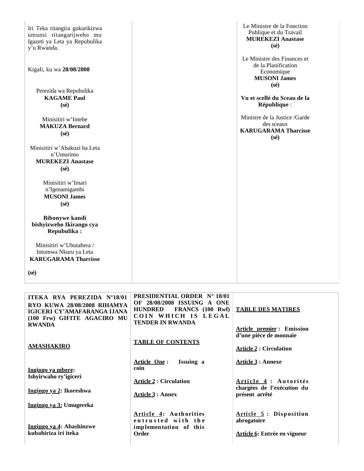| Iri Teka ritangira gukurikizwa<br>umunsi ritangarijweho mu<br>Igazeti ya Leta ya Repubulika<br>y'u Rwanda. | Le Ministre de la Fonction<br>Publique et du Travail<br><b>MUREKEZI Anastase</b><br>$(s\acute{e})$                                       |
|------------------------------------------------------------------------------------------------------------|------------------------------------------------------------------------------------------------------------------------------------------|
| Kigali, ku wa 28/08/2008<br>Perezida wa Repubulika<br><b>KAGAME Paul</b>                                   | Le Ministre des Finances et<br>de la Planification<br>Economique<br><b>MUSONI James</b><br>$(s\acute{e})$<br>Vu et scellé du Sceau de la |
| $(s\acute{e})$                                                                                             | République :                                                                                                                             |
| Minisitiri w'Intebe<br><b>MAKUZA Bernard</b><br>$(s\acute{e})$                                             | Ministre de la Justice /Garde<br>des sceaux<br><b>KARUGARAMA Tharcisse</b><br>$(s\acute{e})$                                             |
| Minisitiri w'Abakozi ba Leta<br>n'Umurimo<br><b>MUREKEZI Anastase</b><br>$(s\acute{e})$                    |                                                                                                                                          |
| Minisitiri w'Imari<br>n'Igenamigambi<br><b>MUSONI James</b><br>$(s\acute{e})$                              |                                                                                                                                          |
| <b>Bibonywe kandi</b><br>bishyizweho Ikirango cya<br>Repubulika:                                           |                                                                                                                                          |
| Minisitiri w'Ubutabera /<br>Intumwa Nkuru ya Leta<br><b>KARUGARAMA Tharcisse</b>                           |                                                                                                                                          |
| $(s\acute{e})$                                                                                             |                                                                                                                                          |

| ITEKA RYA PEREZIDA N°18/01<br>RYO KUWA 28/08/2008 RIHAMYA<br>IGICERI CY'AMAFARANGA LIANA<br>(100 Frw) GIFITE AGACIRO MU<br><b>RWANDA</b> | <b>PRESIDENTIAL ORDER N° 18/01</b><br>OF 28/08/2008 ISSUING A ONE<br><b>FRANCS</b> (100 Rwf)<br><b>HUNDRED</b><br>COIN WHICH IS LEGAL<br><b>TENDER IN RWANDA</b> | <b>TABLE DES MATIRES</b>                                              |
|------------------------------------------------------------------------------------------------------------------------------------------|------------------------------------------------------------------------------------------------------------------------------------------------------------------|-----------------------------------------------------------------------|
|                                                                                                                                          |                                                                                                                                                                  | <b>Article premier:</b> Emission<br>d'une pièce de monnaie            |
| <b>AMASHAKIRO</b>                                                                                                                        | <b>TABLE OF CONTENTS</b>                                                                                                                                         | <b>Article 2 : Circulation</b>                                        |
| Ingingo ya mbere:<br>Ishyirwaho ry'igiceri                                                                                               | Article One:<br>Issuing a<br>coin                                                                                                                                | <b>Article 3 : Annexe</b>                                             |
|                                                                                                                                          | <b>Article 2: Circulation</b>                                                                                                                                    | Article 4 : Autorités<br>chargées de l'exécution du                   |
| Ingingo ya 2: Ikoreshwa                                                                                                                  | <b>Article 3 : Annex</b>                                                                                                                                         | présent arrêté                                                        |
| Ingingo ya 3: Umugereka                                                                                                                  |                                                                                                                                                                  |                                                                       |
| Ingingo ya 4: Abashinzwe<br>kubahiriza iri iteka                                                                                         | Article 4: Authorities<br>entrusted with the<br>implementation of this<br>Order                                                                                  | Article 5: Disposition<br>abrogatoire<br>Article 6: Entrée en vigueur |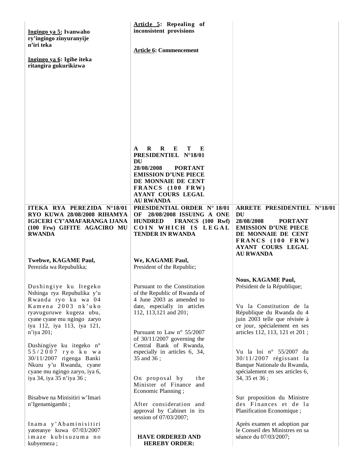| Ingingo ya 5: Ivanwaho<br>ry'ingingo zinyuranyije<br>n'iri teka<br>Ingingo ya 6: Igihe iteka<br>ritangira gukurikizwa                                                                                     | Article 5: Repealing of<br>inconsistent provisions<br><b>Article 6: Commencement</b>                                                                                                                                                                     |                                                                                                                                                                                                                      |
|-----------------------------------------------------------------------------------------------------------------------------------------------------------------------------------------------------------|----------------------------------------------------------------------------------------------------------------------------------------------------------------------------------------------------------------------------------------------------------|----------------------------------------------------------------------------------------------------------------------------------------------------------------------------------------------------------------------|
|                                                                                                                                                                                                           | $\bf{R}$<br>$\mathbf R$<br>$\mathbf{E}$<br>т<br>$\mathbf{E}$<br>A<br>PRESIDENTIEL N°18/01<br>DU<br>28/08/2008<br><b>PORTANT</b><br><b>EMISSION D'UNE PIECE</b><br>DE MONNAIE DE CENT<br>FRANCS (100 FRW)<br><b>AYANT COURS LEGAL</b><br><b>AU RWANDA</b> |                                                                                                                                                                                                                      |
| ITEKA RYA PEREZIDA N°18/01<br>RYO KUWA 28/08/2008 RIHAMYA<br>IGICERI CY'AMAFARANGA IJANA<br>(100 Frw) GIFITE AGACIRO MU<br><b>RWANDA</b>                                                                  | <b>PRESIDENTIAL ORDER N° 18/01</b><br>OF 28/08/2008 ISSUING A ONE<br><b>HUNDRED</b><br>FRANCS (100 Rwf)<br>COIN WHICH IS LEGAL<br>TENDER IN RWANDA                                                                                                       | ARRETE PRESIDENTIEL N°18/01<br>DU<br>28/08/2008<br><b>PORTANT</b><br><b>EMISSION D'UNE PIECE</b><br>DE MONNAIE DE CENT<br>FRANCS (100 FRW)<br><b>AYANT COURS LEGAL</b><br><b>AU RWANDA</b>                           |
| Twebwe, KAGAME Paul,<br>Perezida wa Repubulika;                                                                                                                                                           | We, KAGAME Paul,<br>President of the Republic;                                                                                                                                                                                                           |                                                                                                                                                                                                                      |
| Dushingiye ku Itegeko<br>Nshinga rya Repubulika y'u<br>Rwanda ryo ku wa 04<br>Kamena 2003 nk'uko<br>ryavuguruwe kugeza ubu,<br>cyane cyane mu ngingo zaryo<br>iya 112, iya 113, iya 121,<br>$n$ 'iya 201; | Pursuant to the Constitution<br>of the Republic of Rwanda of<br>4 June 2003 as amended to<br>date, especially in articles<br>112, 113, 121 and 201;<br>Pursuant to Law $n^{\circ}$ 55/2007<br>of $30/11/2007$ governing the                              | <b>Nous, KAGAME Paul,</b><br>Président de la République;<br>Vu la Constitution de la<br>République du Rwanda du 4<br>juin 2003 telle que révisée à<br>ce jour, spécialement en ses<br>articles 112, 113, 121 et 201; |
| Dushingiye ku itegeko n°<br>55/2007 ryo ku wa<br>30/11/2007 rigenga Banki<br>Nkuru y'u Rwanda, cyane<br>cyane mu ngingo zaryo, iya 6,<br>iya 34, iya 35 n'iya 36;                                         | Central Bank of Rwanda,<br>especially in articles 6, 34,<br>35 and 36;<br>On proposal by<br>the<br>Minister of Finance<br>and<br>Economic Planning;                                                                                                      | Vu la loi nº 55/2007 du<br>30/11/2007 régissant la<br>Banque Nationale du Rwanda,<br>spécialement en ses articles 6,<br>34, 35 et 36;                                                                                |
| Bisabwe na Minisitiri w'Imari<br>n'Igenamigambi;                                                                                                                                                          | After consideration and<br>approval by Cabinet in its<br>session of 07/03/2007;                                                                                                                                                                          | Sur proposition du Ministre<br>des Finances et de la<br>Planification Economique;                                                                                                                                    |
| Inama y'Abaminisitiri<br>yateranye kuwa 07/03/2007<br>imaze kubisuzuma no<br>kubyemeza;                                                                                                                   | <b>HAVE ORDERED AND</b><br><b>HEREBY ORDER:</b>                                                                                                                                                                                                          | Après examen et adoption par<br>le Conseil des Ministres en sa<br>séance du 07/03/2007;                                                                                                                              |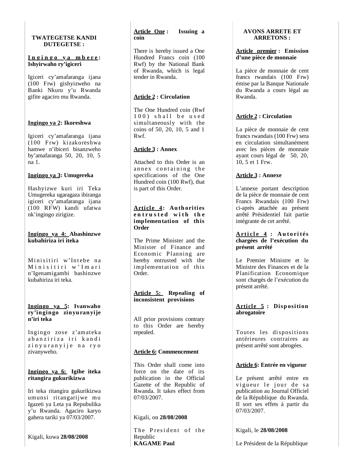## **TWATEGETSE KANDI DUTEGETSE :**

## **I n g i n g o y a m b e r e : Ishyirwaho ry'igiceri**

Igiceri cy'amafaranga ijana (100 Frw) gishyizweho na Banki Nkuru y'u Rwanda gifite agaciro mu Rwanda.

## **Ingingo ya 2: Ikoreshwa**

Igiceri cy'amafaranga ijana (100 Frw) kizakoreshwa hamwe n'ibiceri bisanzweho by'amafaranga 50, 20, 10, 5 na 1.

## **Ingingo ya 3: Umugereka**

Hashyizwe kuri iri Teka Umugereka ugaragaza ibiranga igiceri cy'amafaranga ijana (100 RFW) kandi ufatwa nk'ingingo zirigize.

## **Ingingo ya 4: Abashinzwe kubahiriza iri iteka**

Minisitiri w'Intebe na M i n i s i t i r i w ' I m a r i n'Igenamigambi bashinzwe kubahiriza iri teka.

#### **Ingingo ya 5: Ivanwaho ry'ingingo zinyuranyije n'iri teka**

Ingingo zose z'amateka abanziriza iri kandi zinyuranyije na ryo zivanyweho.

## **Ingingo ya 6: Igihe iteka ritangira gukurikizwa**

Iri teka ritangira gukurikizwa umunsi ritangarijwe mu Igazeti ya Leta ya Repubulika y'u Rwanda. Agaciro karyo gahera tariki ya 07/03/2007.

Kigali, kuwa **28/08/2008**

## **Article One : Issuing a coin**

There is hereby issued a One Hundred Francs coin (100 Rwf) by the National Bank of Rwanda, which is legal tender in Rwanda.

## **Article 2 : Circulation**

The One Hundred coin (Rwf  $100$  shall be used simultaneously with the coins of 50, 20, 10, 5 and 1 Rwf.

## **Article 3 : Annex**

Attached to this Order is an annex containing the specifications of the One Hundred coin (100 Rwf), that is part of this Order.

#### **Article 4: Authorities** entrusted with the **implementation of this Order**

The Prime Minister and the Minister of Finance and Economic Planning are hereby entrusted with the implementation of this Order.

#### **Article 5: Repealing of inconsistent provisions**

All prior provisions contrary to this Order are hereby repealed.

## **Article 6: Commencement**

This Order shall come into force on the date of its publication in the Official Gazette of the Republic of Rwanda. It takes effect from 07/03/2007.

## Kigali, on **28/08/2008**

The President of the Republic **KAGAME Paul**

## **AVONS ARRETE ET ARRETONS :**

#### **Article premier : Emission d'une pièce de monnaie**

La pièce de monnaie de cent francs rwandais (100 Frw) émise par la Banque Nationale du Rwanda a cours légal au Rwanda.

## **Article 2 : Circulation**

La pièce de monnaie de cent francs rwandais (100 Frw) sera en circulation simultanément avec les pièces de monnaie ayant cours légal de 50, 20, 10, 5 et 1 Frw.

## **Article 3 : Annexe**

L'annexe portant description de la pièce de monnaie de cent Francs Rwandais (100 Frw) ci-après attachée au présent arrêté Présidentiel fait partie intégrante de cet arrêté.

## **Ar ti c l e 4 : A u to ri tés chargées de l'exécution du présent arrêté**

Le Premier Ministre et le Ministre des Finances et de la Planification Economique sont chargés de l'exécution du présent arrêté.

## **Article 5: Disposition abrogatoire**

Toutes les dispositions antérieures contraires au présent arrêté sont abrogées.

## **Article 6: Entrée en vigueur**

Le présent arrêté entre en vigueur le jour de sa publication au Journal Officiel de la République du Rwanda. Il sort ses effets à partir du 07/03/2007.

Kigali, le **28/08/2008**

Le Président de la République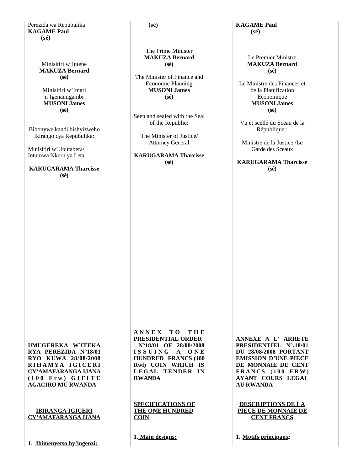Perezida wa Repubulika **KAGAME Paul (sé)**

> Minisitiri w'Intebe **MAKUZA Bernard (sé)**

Minisitiri w'Imari n'Igenamigambi **MUSONI James (sé)**

Bibonywe kandi bishyizweho Ikirango cya Repubulika:

Minisitiri w'Ubutabera/ Intumwa Nkuru ya Leta

**KARUGARAMA Tharcisse (sé)**

 **(sé)**

#### The Prime Minister **MAKUZA Bernard (sé)**

The Minister of Finance and Economic Planning **MUSONI James (sé)**

Seen and sealed with the Seal of the Republic:

The Minister of Justice/ Attorney General

**KARUGARAMA Tharcisse (sé)**

**KAGAME Paul (sé)**

> Le Premier Ministre **MAKUZA Bernard (sé)**

Le Ministre des Finances et de la Planification **Economique MUSONI James (sé)**

Vu et scellé du Sceau de la République :

Ministre de la Justice /Le Garde des Sceaux

**KARUGARAMA Tharcisse (sé)**

**UMUGEREKA W`ITEKA RYA PEREZIDA N°18/01 RYO KUWA 28/08/2008 R I H A M Y A I G I C E R I CY'AMAFARANGA IJANA ( 1 0 0 F r w ) G I F I T E AGACIRO MU RWANDA**

**IBIRANGA IGICERI CY'AMAFARANGA IJANA**

**A N N E X T O T H E PRESIDENTIAL ORDER N°18/01 OF 28/08/2008 I S S U I N G A O N E HUNDRED FRANCS (100 Rwf) COIN WHICH IS LEGAL TENDER IN RWANDA**

**SPECIFICATIONS OF THE ONE HUNDRED COIN**

**1. Main designs:**

**ANNEXE A L' ARRETE PRESIDENTIEL N°.18/01 DU 28/08/2008 PORTANT EMISSION D'UNE PIECE DE MONNAIE DE CENT F R A N C S ( 1 0 0 F R W ) AYANT COURS LEGAL AU RWANDA**

**DESCRIPTIONS DE LA PIECE DE MONNAIE DE CENT FRANCS**

**1. Motifs principaux:**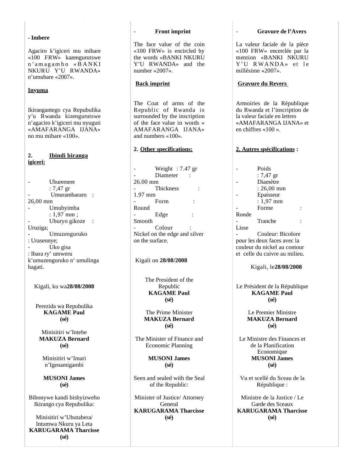#### **- Imbere**

Agaciro k'igiceri mu mibare «100 FRW» kazengurutswe n ' a m a g a m b o « B A N K I NKURU Y'U RWANDA» n'umubare «2007».

## **Inyuma**

Ikirangantego cya Repubulika y'u Rwanda kizengurutswe n'agaciro k'igiceri mu nyuguti «AMAFARANGA IJANA» no mu mibare «100».

## **2. Ibindi biranga igiceri:**

- Uburemere : 7,47 gr Umurambararo : 26,00 mm - Umubyimba : 1,97 mm ; Uburyo gikoze : Uruziga; - Umuzenguruko : Urasennye; Uko gisa : Ibara ry' umweru k'umuzenguruko n' umulinga hagati.

Kigali, ku wa**28/08/2008**

Perezida wa Repubulika **KAGAME Paul (sé)**

Minisitiri w'Intebe **MAKUZA Bernard (sé)**

Minisitiri w'Imari n'Igenamigambi

**MUSONI James (sé)**

Bibonywe kandi bishyizweho Ikirango cya Repubulika:

Minisitiri w'Ubutabera/ Intumwa Nkuru ya Leta **KARUGARAMA Tharcisse (sé)**

#### - **Front imprint**

The face value of the coin «100 FRW» is encircled by the words «BANKI NKURU Y'U RWANDA» and the number «2007».

#### **Back imprint**

The Coat of arms of the Republic of Rwanda is surrounded by the inscription of the face value in words « AMAFARANGA IJANA» and numbers «100».

#### **2. Other specifications:**

Weight  $: 7.47$  gr Diameter : 26.00 mm Thickness : 1.97 mm Form : Round Edge Smooth Colour Nickel on the edge and silver on the surface.

Kigali on **28/08/2008**

The President of the Republic **KAGAME Paul (sé)**

The Prime Minister **MAKUZA Bernard (sé)**

The Minister of Finance and Economic Planning

> **MUSONI James (sé)**

Seen and sealed with the Seal of the Republic:

Minister of Justice/ Attorney **General KARUGARAMA Tharcisse (sé)**

#### - **Gravure de l'Avers**

La valeur faciale de la pièce «100 FRW» encerclée par la mention «BANKI NKURU Y'U RWANDA» et le millésime «2007».

#### **Gravure du Revers**

Armoiries de la République du Rwanda et l'inscription de la valeur faciale en lettres «AMAFARANGA IJANA» et en chiffres «100 ».

#### **2. Autres spécifications :**

|       | Poids                |  |
|-------|----------------------|--|
|       | : $7,47$ gr          |  |
|       | Diamètre             |  |
|       | $: 26,00 \text{ mm}$ |  |
|       | Epaisseur            |  |
|       | $: 1,97$ mm          |  |
|       | Forme                |  |
| Ronde |                      |  |
|       | Tranche              |  |
| Lisse |                      |  |
|       | Couleur: Bicolore    |  |

pour les deux faces avec la couleur du nickel au contour et celle du cuivre au milieu.

Kigali, le**28/08/2008**

Le Président de la République **KAGAME Paul (sé)**

> Le Premier Ministre **MAKUZA Bernard (sé)**

Le Ministre des Finances et de la Planification Economique **MUSONI James (sé)**

Vu et scellé du Sceau de la République :

Ministre de la Justice / Le Garde des Sceaux **KARUGARAMA Tharcisse (sé)**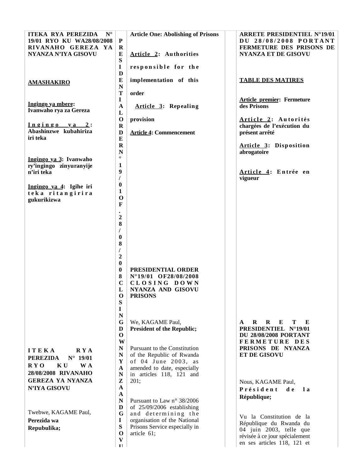| <b>ITEKA RYA PEREZIDA</b><br>$N^{\circ}$<br>19/01 RYO KU WA28/08/2008 | ${\bf P}$                    | <b>Article One: Abolishing of Prisons</b>                 | <b>ARRETE PRESIDENTIEL N°19/01</b><br>DU 28/08/2008 PORTANT                        |
|-----------------------------------------------------------------------|------------------------------|-----------------------------------------------------------|------------------------------------------------------------------------------------|
| RIVANAHO GEREZA YA<br>NYANZA N'IYA GISOVU                             | $\bf R$<br>E<br>${\bf S}$    | Article 2: Authorities                                    | <b>FERMETURE DES PRISONS DE</b><br><b>NYANZA ET DE GISOVU</b>                      |
|                                                                       | $\mathbf I$<br>D             | responsible for the                                       |                                                                                    |
| <b>AMASHAKIRO</b>                                                     | E<br>${\bf N}$               | implementation of this                                    | <b>TABLE DES MATIRES</b>                                                           |
|                                                                       | $\mathbf T$<br>$\mathbf I$   | order                                                     | <b>Article premier: Fermeture</b>                                                  |
| Ingingo ya mbere:<br>Ivanwaho rya za Gereza                           | $\mathbf A$<br>L             | Article 3: Repealing                                      | des Prisons                                                                        |
| Ingingo ya 2:                                                         | $\mathbf{o}$<br>$\mathbf R$  | provision                                                 | Article 2: Autorités<br>chargées de l'exécution du                                 |
| Abashinzwe kubahiriza<br>iri teka                                     | D<br>${\bf E}$               | <b>Article 4: Commencement</b>                            | présent arrêté                                                                     |
|                                                                       | $\mathbf R$<br>${\bf N}$     |                                                           | Article 3: Disposition<br>abrogatoire                                              |
| Ingingo ya 3: Ivanwaho<br>ry'ingingo zinyuranyije                     | $\circ$<br>$\mathbf{1}$      |                                                           |                                                                                    |
| n'iri teka                                                            | $\boldsymbol{9}$             |                                                           | Article 4: Entrée en<br>vigueur                                                    |
| Ingingo ya 4: Igihe iri<br>teka ritangirira                           | $\boldsymbol{0}$<br>1        |                                                           |                                                                                    |
| gukurikizwa                                                           | $\mathbf 0$<br>F             |                                                           |                                                                                    |
|                                                                       | $\boldsymbol{2}$             |                                                           |                                                                                    |
|                                                                       | 8                            |                                                           |                                                                                    |
|                                                                       | $\bf{0}$                     |                                                           |                                                                                    |
|                                                                       | 8                            |                                                           |                                                                                    |
|                                                                       | $\boldsymbol{2}$<br>$\bf{0}$ |                                                           |                                                                                    |
|                                                                       | $\boldsymbol{0}$             | PRESIDENTIAL ORDER                                        |                                                                                    |
|                                                                       | 8<br>$\mathbf C$             | N°19/01 OF28/08/2008<br>CLOSING DOWN                      |                                                                                    |
|                                                                       | L<br>$\mathbf{O}$            | NYANZA AND GISOVU<br><b>PRISONS</b>                       |                                                                                    |
|                                                                       | S<br>$\bf{I}$                |                                                           |                                                                                    |
|                                                                       | ${\bf N}$                    |                                                           |                                                                                    |
|                                                                       | G<br>D                       | We, KAGAME Paul,<br><b>President of the Republic;</b>     | $\bf{R}$<br>$\bf{R}$<br>E<br>Т<br>E<br>$\mathbf{A}$<br><b>PRESIDENTIEL N°19/01</b> |
|                                                                       | $\mathbf 0$<br>W             |                                                           | <b>DU 28/08/2008 PORTANT</b><br>FERMETURE DES                                      |
| <b>RYA</b><br><b>ITEKA</b>                                            | N<br>${\bf N}$               | Pursuant to the Constitution<br>of the Republic of Rwanda | PRISONS DE NYANZA<br><b>ET DE GISOVU</b>                                           |
| <b>PEREZIDA</b><br>$N^{\circ}$ 19/01<br>RYO<br>K U<br>W A             | Y                            | of 04 June 2003, as                                       |                                                                                    |
| 28/08/2008 RIVANAHO                                                   | A<br>${\bf N}$               | amended to date, especially<br>in articles 118, 121 and   |                                                                                    |
| <b>GEREZA YA NYANZA</b><br>N'IYA GISOVU                               | Z<br>$\mathbf A$             | 201;                                                      | Nous, KAGAME Paul,<br>Président<br>d e<br>1 a                                      |
|                                                                       | A<br>N                       | Pursuant to Law $n^{\circ}$ 38/2006                       | République;                                                                        |
| Twebwe, KAGAME Paul,                                                  | D                            | of 25/09/2006 establishing                                |                                                                                    |
| Perezida wa                                                           | G<br>$\bf{I}$                | and determining the<br>organisation of the National       | Vu la Constitution de la<br>République du Rwanda du                                |
| Repubulika;                                                           | S<br>$\mathbf 0$             | Prisons Service especially in<br>article 61;              | 04 juin 2003, telle que                                                            |
|                                                                       | $\mathbf{V}$<br>II           |                                                           | révisée à ce jour spécialement<br>en ses articles 118, 121 et                      |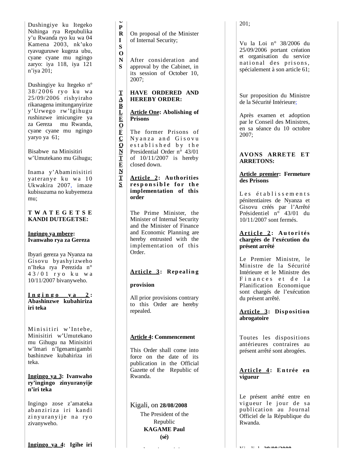Dushingiye ku Itegeko Nshinga rya Repubulika y'u Rwanda ryo ku wa 04 Kamena 2003, nk'uko ryavuguruwe kugeza ubu, cyane cyane mu ngingo zaryo: iya 118, iya 121 n'iya 201;

Dushingiye ku Itegeko nº 38/2006 ryo ku wa 25/09/2006 rishyiraho rikanagena imitunganyirize y'Urwego rw'Igihugu rushinzwe imicungire ya za Gereza mu Rwanda, cyane cyane mu ngingo yaryo ya 61;

Bisabwe na Minisitiri w'Umutekano mu Gihugu;

Inama y'Abaminisitiri yat eranye ku wa 10 Ukwakira 2007, imaze kubisuzuma no kubyemeza mu;

## **T W A T E G E T S E KANDI DUTEGETSE:**

**Ingingo ya mbere: Ivanwaho rya za Gereza**

Ibyari gereza ya Nyanza na Gisovu byashyizweho n'Iteka rya Perezida n° 4 3 / 0 1 r y o k u w a 10/11/2007 bivanyweho.

 $I_n$   $g$   $i$   $n$   $g$   $o$   $y$   $a$   $2$  : **Abashinzwe kubahiriza iri teka**

Minisitiri w'Intebe, Minisitiri w'Umutekano mu Gihugu na Minisitiri w'Imari n'Igenamigambi bashinzwe kubahiriza iri teka.

## **Ingingo ya 3: Ivanwaho ry'ingingo zinyuranyije n'iri teka**

Ingingo zose z'amateka abanziriza iri kandi zinyuranyije na ryo zivanyweho.

**In gin g o y a 4: I gihe iri**

 $\mathbf{R}$ On proposal of the Minister of Internal Security;

**UPRISONSTABL** S  $\Omega$  $\mathbf N$ 

 $S$ 

T  $\Delta$  $\mathbf{B}$  $\mathbf{L}$ 

 $\mathbf{P}$ 

 $\mathbf{I}$ 

**E O**

 $\overline{\mathbf{C}}$  $\overline{\mathbf{O}}$  $\bar{\textbf{N}}$  $\bar{\textbf{I}}$ 

**F CONTENTS**

 $\mathbf{\bar{E}}$   $\mathbf{\bar{N}}$ 

 $S$ 

After consideration and approval by the Cabinet, in its session of October 10, 2007;

## **HAVE ORDERED AND HEREBY ORDER:**

## **Article One: Abolishing of Prisons**

The former Prisons of Ny an za and Gisovu e stablished by the Presidential Order n° 43/01 of 10/11/2007 is hereby closed down.

#### **Article 2: Authorities**  responsible for the **implementation of this order**

The Prime Minister, the Minister of Internal Security and the Minister of Finance and Economic Planning are hereby entrusted with the implementation of this Order.

## **Article 3: Repealing**

## **provision**

All prior provisions contrary to this Order are hereby repealed.

## **Article 4: Commencement**

This Order shall come into force on the date of its publication in the Official Gazette of the Republic of Rwanda.

Kigali, on **28/08/2008** The President of the Republic **KAGAME Paul (sé)**

201;

Vu la Loi n° 38/2006 du 25/09/2006 portant création et organisation du service national des prisons, spécialement à son article 61;

Sur proposition du Ministre de la Sécurité Intérieure ;

Après examen et adoption par le Conseil des Ministres, en sa séance du 10 octobre 2007;

## **AVONS ARRETE ET ARRETONS:**

## **Article premier: Fermeture des Prisons**

Les établissements pénitentiaires de Nyanza et Gisovu créés par l'Arrêté Présidentiel n° 43/01 du 10/11/2007 sont fermés.

## **A r ti c l e 2 : A u t o ri t és chargées de l'exécution du présent arrêté**

Le Premier Ministre, le Ministre de la Sécurité Intérieure et le Ministre des Finances et de la Planification Economique sont chargés de l'exécution du présent arrêté.

## **Article 3: Disposition abrogatoire**

Toutes les dispositions antérieures contraires au présent arrêté sont abrogées.

#### Article 4: Entrée en **vigueur**

Le présent arrêté entre en vigueur le jour de sa publication au Journal Officiel de la République du Rwanda.

Ki li l **28/08/2008**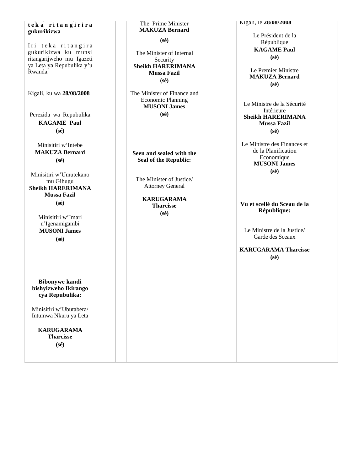#### **g g y g t e k a r i t a n g i r i r a gukurikizwa**

Iri teka ritangira gukurikizwa ku munsi ritangarijweho mu Igazeti ya Leta ya Repubulika y'u Rwanda.

Kigali, ku wa **28/08/2008**

Perezida wa Repubulika **KAGAME Paul (sé)**

Minisitiri w'Intebe **MAKUZA Bernard (sé)**

Minisitiri w'Umutekano mu Gihugu **Sheikh HARERIMANA Mussa Fazil (sé)**

> Minisitiri w'Imari n'Igenamigambi **MUSONI James (sé)**

**Bibonywe kandi bishyizweho Ikirango cya Repubulika:**

Minisitiri w'Ubutabera/ Intumwa Nkuru ya Leta

**KARUGARAMA Tharcisse (sé)**

The Prime Minister **MAKUZA Bernard**

**(sé)**

The Minister of Internal Security **Sheikh HARERIMANA Mussa Fazil (sé)**

The Minister of Finance and Economic Planning **MUSONI James (sé)**

**Seen and sealed with the Seal of the Republic:**

The Minister of Justice/ Attorney General

> **KARUGARAMA Tharcisse (sé)**

Kigali, le **28/08/2008** 

Le Président de la République **KAGAME Paul (sé)**

Le Premier Ministre **MAKUZA Bernard (sé)**

Le Ministre de la Sécurité Intérieure **Sheikh HARERIMANA Mussa Fazil (sé)**

Le Ministre des Finances et de la Planification Economique **MUSONI James (sé)**

**Vu et scellé du Sceau de la République:**

Le Ministre de la Justice/ Garde des Sceaux

**KARUGARAMA Tharcisse (sé)**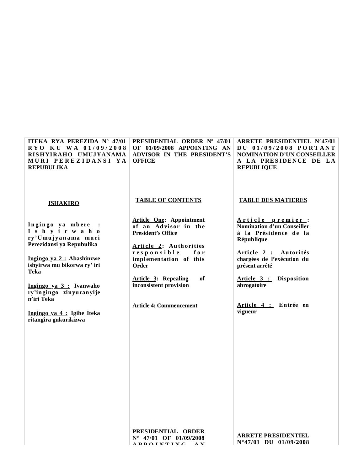| ITEKA RYA PEREZIDA N° 47/01<br>RYO KU WA 01/09/2008<br>RISHYIRAHO UMUJYANAMA<br>MURI PEREZIDANSI YA<br><b>REPUBULIKA</b>                                                                                                                                                              | PRESIDENTIAL ORDER Nº 47/01<br>OF 01/09/2008 APPOINTING AN<br>ADVISOR IN THE PRESIDENT'S<br><b>OFFICE</b>                                                                                                                                                                | <b>ARRETE PRESIDENTIEL N°47/01</b><br>DU 01/09/2008 PORTANT<br><b>NOMINATION D'UN CONSEILLER</b><br>A LA PRESIDENCE DE LA<br><b>REPUBLIQUE</b>                                                                                               |
|---------------------------------------------------------------------------------------------------------------------------------------------------------------------------------------------------------------------------------------------------------------------------------------|--------------------------------------------------------------------------------------------------------------------------------------------------------------------------------------------------------------------------------------------------------------------------|----------------------------------------------------------------------------------------------------------------------------------------------------------------------------------------------------------------------------------------------|
| <b>ISHAKIRO</b>                                                                                                                                                                                                                                                                       | <b>TABLE OF CONTENTS</b>                                                                                                                                                                                                                                                 | <b>TABLE DES MATIERES</b>                                                                                                                                                                                                                    |
| Ingingo ya mbere :<br>I shy i rwaho<br>ry'Umujyanama muri<br>Perezidansi ya Repubulika<br>Ingingo ya 2 : Abashinzwe<br>ishyirwa mu bikorwa ry' iri<br>Teka<br>Ingingo ya 3 : Ivanwaho<br>ry'ingingo zinyuranyije<br>n'iri Teka<br>Ingingo ya 4 : Igihe Iteka<br>ritangira gukurikizwa | <b>Article One: Appointment</b><br>of an Advisor in the<br><b>President's Office</b><br>Article 2: Authorities<br>responsible<br>for<br>implementation of this<br>Order<br>of<br><b>Article 3: Repealing</b><br>inconsistent provision<br><b>Article 4: Commencement</b> | Article premier:<br>Nomination d'un Conseiller<br>à la Présidence de la<br>République<br>Article 2 : Autorités<br>chargées de l'exécution du<br>présent arrêté<br>Article 3 : Disposition<br>abrogatoire<br>Article 4 : Entrée en<br>vigueur |
|                                                                                                                                                                                                                                                                                       |                                                                                                                                                                                                                                                                          |                                                                                                                                                                                                                                              |

**PRESIDENTIAL ORDER Nº 47/01 OF 01/09/2008 A P P O I N T I N G A N** 

**ARRETE PRESIDENTIEL N°47/01 DU 01/09/2008**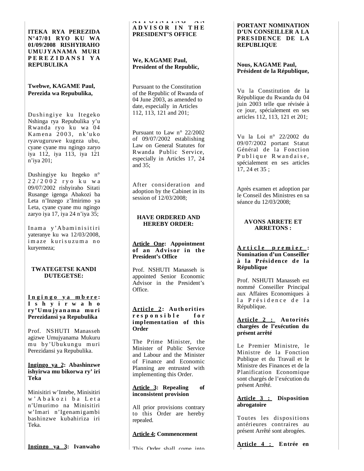**ITEKA RYA PEREZIDA N°47/01 RYO KU WA 01/09/2008 RISHYIRAHO UMUJYANAMA MURI P E R E Z I D A N S I Y A REPUBULIKA** 

#### **Twebwe, KAGAME Paul, Perezida wa Repubulika,**

Dushingiye ku Itegeko Nshinga rya Repubulika y'u R wanda ryo ku wa 04 Kamena 2003, nk'uko ryavuguruwe kugeza ubu, cyane cyane mu ngingo zaryo iya 112, iya 113, iya 121 n'iya 201;

Dushingiye ku Itegeko n° 2 2 / 2 0 0 2 r y o k u w a 09/07/2002 rishyiraho Sitati Rusange igenga Abakozi ba Leta n'Inzego z'Imirimo ya Leta, cyane cyane mu ngingo zaryo iya 17, iya 24 n'iya 35;

Inama y'Abaminisitiri yateranye ku wa 12/03/2008, imaze kurisuzuma no kuryemeza;

#### **TWATEGETSE KANDI DUTEGETSE:**

#### **I n g i n g o y a m b e r e : I s h y i r w a h o ry'Umu jyan ama mu ri Perezidansi ya Repubulika**

Prof. NSHUTI Manasseh agizwe Umujyanama Mukuru mu by'Ubukungu muri Perezidansi ya Repubulika.

#### **Ingingo ya 2: Abashinzwe ishyirwa mu bikorwa ry' iri Teka**

Minisitiri w'Intebe, Minisitiri w' A b a k o z i b a L e t a n'Umurimo na Minisitiri w'Imari n'Igenamigambi bashinzwe kubahiriza iri Teka.

**Ingin go ya 3: Ivanwaho** 

#### **A P P O I N T I N G A N A D V I S O R I N T H E PRESIDENT'S OFFICE**

## **We, KAGAME Paul, President of the Republic,**

Pursuant to the Constitution of the Republic of Rwanda of 04 June 2003, as amended to date, especially in Articles 112, 113, 121 and 201;

Pursuant to Law n° 22/2002 of 09/07/2002 establishing Law on General Statutes for Rwanda Public Service, especially in Articles 17, 24 and 35;

After consideration and adoption by the Cabinet in its session of 12/03/2008;

## **HAVE ORDERED AND HEREBY ORDER:**

#### **Article One: Appointment**  of an Advisor in the **President's Office**

Prof. NSHUTI Manasseh is appointed Senior Economic Advisor in the President's Office.

## **Article 2: Authorities r e s p o n s i b l e f o r implementation of this Order**

The Prime Minister, the Minister of Public Service and Labour and the Minister of Finance and Economic Planning are entrusted with implementing this Order.

## **Article 3: Repealing of inconsistent provision**

All prior provisions contrary to this Order are hereby repealed.

## **Article 4: Commencement**

#### **PORTANT NOMINATION D'UN CONSEILLER A LA PRES IDENCE DE LA REPUBLIQUE**

## **Nous, KAGAME Paul, Président de la République,**

Vu la Constitution de la République du Rwanda du 04 juin 2003 telle que révisée à ce jour, spécialement en ses articles 112, 113, 121 et 201;

Vu la Loi n° 22/2002 du 09/07/2002 portant Statut Général de la Fonction Publique Rwandaise, spécialement en ses articles 17, 24 et 35 ;

Après examen et adoption par le Conseil des Ministres en sa séance du 12/03/2008;

## **AVONS ARRETE ET ARRETONS :**

#### **A r t i c l e p r e m i e r : Nomination d'un Conseiller**   $\lambda$  la Présidence de la **République**

Prof. NSHUTI Manasseh est nommé Conseiller Principal aux Affaires Economiques à la Présidence de la République.

## **Article 2 : Autorités chargées de l'exécution du présent arrêté**

Le Premier Ministre, le Ministre de la Fonction Publique et du Travail et le Ministre des Finances et de la Planification Economique sont chargés de l'exécution du présent Arrêté.

## **Article 3 : Disposition abrogatoire**

Toutes les dispositions antérieures contraires au présent Arrêté sont abrogées.

**Article 4 : Entrée en i**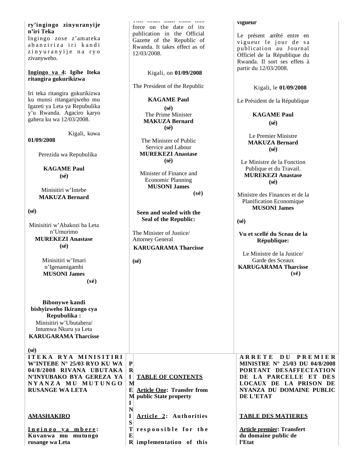## **g g y ry'ingingo zinyuranyije n'iri Teka**

Ingingo zose z'amateka abanziriza iri kandi zinyuranyije na ryo zivanyweho.

#### **Ingingo ya 4: Igihe Iteka ritangira gukurikizwa**

Iri teka ritangira gukurikizwa ku munsi ritangarijweho mu Igazeti ya Leta ya Repubulika y'u Rwanda. Agaciro karyo gahera ku wa 12/03/2008.

Kigali, kuwa

**01/09/2008**

Perezida wa Repubulika

**KAGAME Paul (sé)**

Minisitiri w'Intebe **MAKUZA Bernard**

**(sé)**

| Minisitiri w'Abakozi ba Leta |  |  |  |
|------------------------------|--|--|--|
| n'Umurimo                    |  |  |  |
| <b>MUREKEZI Anastase</b>     |  |  |  |
| $(s\acute{e})$               |  |  |  |

Minisitiri w'Imari n'Igenamigambi **MUSONI James (sé)**

**Bibonywe kandi bishyizweho Ikirango cya Repubulika :** Minisitiri w'Ubutabera/ Intumwa Nkuru ya Leta

**KARUGARAMA Tharcisse (sé) ITEKA RYA MINISITIRI W'INTEBE N° 25/03 RYO KU WA** 

**04/8/2008 RIVANA UBUTAKA N'INYUBAKO BYA GEREZA YA N Y A N Z A M U M U T U N G O RUSANGE WA LETA P R I M E Article One: Transfer from M public State property I**

**AMASHAKIRO**

**I n g i n g o y a m b e r e : Kuvanwa mu mutungo rusange wa Leta**

This Order shall come into force on the date of its publication in the Official Gazette of the Republic of Rwanda. It takes effect as of 12/03/2008.

Kigali, on **01/09/2008**

The President of the Republic

**KAGAME Paul (sé)** The Prime Minister **MAKUZA Bernard (sé)**

The Minister of Public Service and Labour **MUREKEZI Anastase (sé)**

Minister of Finance and Economic Planning **MUSONI James (sé)**

**Seen and sealed with the Seal of the Republic:**

The Minister of Justice/ Attorney General **KARUGARAMA Tharcisse**

**R implementation of this**

Article 2: Authorities

responsible for the

**TABLE OF CONTENTS**

**(sé)**

**N I S T E**

#### **vigueur**

Le présent arrêté entre en vigueur le jour de sa publication au Journal Officiel de la République du Rwanda. Il sort ses effets à partir du 12/03/2008.

Kigali, le **01/09/2008**

Le Président de la République

**KAGAME Paul (sé)**

Le Premier Ministre **MAKUZA Bernard (sé)**

Le Ministre de la Fonction Publique et du Travail. **MUREKEZI Anastase (sé)**

Ministre des Finances et de la Planification Economique **MUSONI James**

**(sé)**

**Vu et scellé du Sceau de la République:**

Le Ministre de la Justice/ Garde des Sceaux **KARUGARAMA Tharcisse (sé)**

**A R R E T E D U P R E M I E R MINISTRE N° 25/03 DU 04/8/2008 PORTANT DESAFFECTATION DE LA PARCELLE ET DES LOCAUX DE LA PRISON DE NYANZA DU DOMAINE PUBLIC DE L'ETAT**

## **TABLE DES MATIERES**

**Article premier: Transfert du domaine public de l'Etat**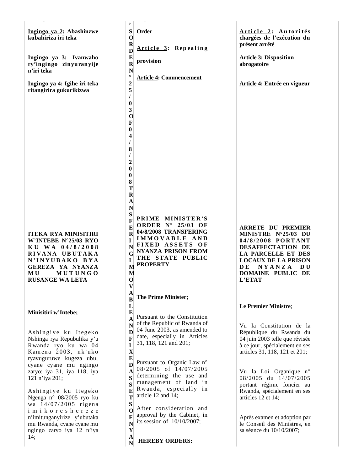|                                                                                                                                                                                  | $\bullet$                                                                                                     |                                                                                                                                                                          |                                                                                                                                                                                                                   |
|----------------------------------------------------------------------------------------------------------------------------------------------------------------------------------|---------------------------------------------------------------------------------------------------------------|--------------------------------------------------------------------------------------------------------------------------------------------------------------------------|-------------------------------------------------------------------------------------------------------------------------------------------------------------------------------------------------------------------|
| Ingingo ya 2: Abashinzwe<br>kubahiriza iri teka                                                                                                                                  | S<br>$\mathbf{o}$<br>$\mathbf R$<br>$\mathbf{D}$                                                              | Order<br><b>Article 3: Repealing</b>                                                                                                                                     | Article 2: Autorités<br>chargées de l'exécution du<br>présent arrêté                                                                                                                                              |
| Ingingo ya 3: Ivanwaho<br>ry'ingingo zinyuranyije<br>n'iri teka                                                                                                                  | $\mathbf E$<br>$\mathbf R$<br>$\mathbf N$<br>$\circ$                                                          | provision                                                                                                                                                                | <b>Article 3: Disposition</b><br>abrogatoire                                                                                                                                                                      |
| Ingingo ya 4: Igihe iri teka<br>ritangirira gukurikizwa                                                                                                                          | $\overline{\mathbf{c}}$<br>5<br>I<br>$\bf{0}$                                                                 | <b>Article 4: Commencement</b>                                                                                                                                           | Article 4: Entrée en vigueur                                                                                                                                                                                      |
|                                                                                                                                                                                  | $\mathbf{3}$<br>$\mathbf 0$<br>$\mathbf F$<br>$\boldsymbol{0}$                                                |                                                                                                                                                                          |                                                                                                                                                                                                                   |
|                                                                                                                                                                                  | 4<br>T<br>8<br>I                                                                                              |                                                                                                                                                                          |                                                                                                                                                                                                                   |
|                                                                                                                                                                                  | $\overline{c}$<br>$\bf{0}$<br>$\boldsymbol{0}$<br>8                                                           |                                                                                                                                                                          |                                                                                                                                                                                                                   |
|                                                                                                                                                                                  | T<br>$\mathbf R$<br>${\bf A}$<br>$\overline{\bf N}$                                                           |                                                                                                                                                                          |                                                                                                                                                                                                                   |
| <b>ITEKA RYA MINISITIRI</b><br>W'INTEBE N°25/03 RYO<br>KU WA 04/8/2008<br>RIVANA UBUTAKA<br>N'INYUBAKO BYA<br>GEREZA YA NYANZA<br>MUTUNGO<br><b>MU</b><br><b>RUSANGE WA LETA</b> | S<br>$\mathbf{F}$<br>E<br>$\mathbf R$<br>I<br>$\mathbf N$<br>G<br>I<br>M<br>M<br>$\mathbf{o}$<br>$\mathbf{V}$ | PRIME MINISTER'S<br>ORDER $N^{\circ}$ 25/03 OF<br>04/8/2008 TRANSFERING<br>IMMOVABLE AND<br>FIXED ASSETS OF<br>NYANZA PRISON FROM<br>THE STATE PUBLIC<br><b>PROPERTY</b> | <b>ARRETE DU PREMIER</b><br>MINISTRE N°25/03 DU<br>04/8/2008 PORTANT<br>DESAFFECTATION DE<br>LA PARCELLE ET DES<br><b>LOCAUX DE LA PRISON</b><br>NYANZA<br>D E<br><b>DU</b><br><b>DOMAINE PUBLIC DE</b><br>L'ETAT |
|                                                                                                                                                                                  | A<br>B<br>L                                                                                                   | The Prime Minister;                                                                                                                                                      | Le Premier Ministre;                                                                                                                                                                                              |
| Minisitiri w'Intebe;<br>Ashingiye ku Itegeko<br>Nshinga rya Repubulika y'u<br>Rwanda ryo ku wa 04<br>Kamena 2003, nk'uko<br>ryavuguruwe kugeza ubu,                              | $\bf{E}$<br>N<br>D<br>F<br>I<br>$\mathbf X$<br>$\bf{E}$                                                       | Pursuant to the Constitution<br>of the Republic of Rwanda of<br>04 June 2003, as amended to<br>date, especially in Articles<br>31, 118, 121 and 201;                     | Vu la Constitution de la<br>République du Rwanda du<br>04 juin 2003 telle que révisée<br>à ce jour, spécialement en ses<br>articles 31, 118, 121 et 201;                                                          |
| cyane cyane mu ngingo<br>zaryo: iya 31, iya 118, iya<br>121 n'iya 201;<br>Ashingiye ku Itegeko<br>Ngenga n° 08/2005 ryo ku                                                       | D<br>A<br>S<br>S<br>Е<br>T<br>S                                                                               | Pursuant to Organic Law n°<br>08/2005 of 14/07/2005<br>determining the use and<br>management of land in<br>Rwanda, especially in<br>article 12 and 14;                   | Vu la Loi Organique n°<br>08/2005 du 14/07/2005<br>portant régime foncier au<br>Rwanda, spécialement en ses<br>articles 12 et 14;                                                                                 |
| wa 14/07/2005 rigena<br>imikoreshereze<br>n'imitunganyirize y'ubutaka<br>mu Rwanda, cyane cyane mu<br>ngingo zaryo iya 12 n'iya<br>14;                                           | O<br>F<br>$\mathbf N$<br>Y<br>$\mathbf{A}$<br>N                                                               | After consideration and<br>approval by the Cabinet, in<br>its session of $10/10/2007$ ;<br><b>HEREBY ORDERS:</b>                                                         | Après examen et adoption par<br>le Conseil des Ministres, en<br>sa séance du 10/10/2007;                                                                                                                          |
|                                                                                                                                                                                  |                                                                                                               |                                                                                                                                                                          |                                                                                                                                                                                                                   |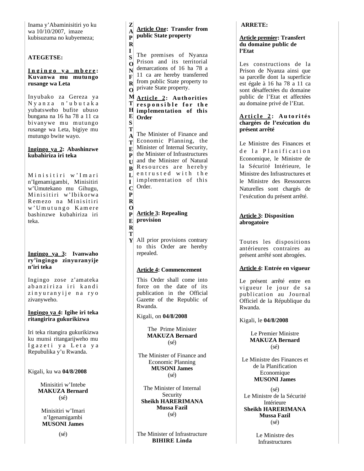Inama y'Abaminisitiri yo ku wa 10/10/2007, imaze kubisuzuma no kubyemeza;

## **ATEGETSE:**

#### **I n g i n g o y a m b e r e : Kuvanwa mu mutungo rusange wa Leta**

Inyubako za Gereza ya N y a n z a n ' u b u t a k a yubatsweho bufite ubuso bungana na 16 ha 78 a 11 ca bivanywe mu mutungo rusange wa Leta, bigiye mu mutungo bwite wayo.

#### **Ingingo ya 2: Abashinzwe kubahiriza iri teka**

Minisitiri w'Imari n'Igenamigambi, Minisitiri w'Umutekano mu Gihugu, Minisitiri w'Ibikorwa Remezo na Minisitiri w' U mutungo Kamere bashinzwe kubahiriza iri teka.

## **Ingingo ya 3: Ivanwaho ry'ingingo zinyuranyije n'iri teka**

Ingingo zose z'amateka abanziriza iri kandi zinyuranyije na ryo zivanyweho.

## **Ingingo ya 4: Igihe iri teka ritangirira gukurikizwa**

Iri teka ritangira gukurikizwa ku munsi ritangarijweho mu Igazeti ya Leta ya Repubulika y'u Rwanda.

Kigali, ku wa **04/8/2008**

Minisitiri w'Intebe **MAKUZA Bernard**  $(sé)$ 

Minisitiri w'Imari n'Igenamigambi **MUSONI James**

(sé)

z **Article One: Transfer from**   $\mathbf{A}$ **public State property**  $\mathbf{R}$ 

 $\mathbf{I}$ The premises of Nyanza  $S$ Prison and its territorial  $\Omega$ demarcations of 16 ha 78 a N 11 ca are hereby transferred  $\mathbf{F}$ from public State property to  $\mathbf{R}$ private State property.  $\Omega$ 

#### **M** Article 2: Authorities T responsible for the **implementation of this**  H  $\mathbf{E}$ **Order** S

**ZAPRISONFROMTHESTATEPUBLICPROPERTY** Т The Minister of Finance and  $\mathbf{A}$ Economic Planning, the  $T$ Minister of Internal Security,  $E$ the Minister of Infrastructures  $\mathbf{P}$ and the Minister of Natural  $II$ Resources are hereby  $\bf{R}$ entrusted with the  $\mathbf{L}$ implementation of this  $\mathbf{I}$ Order.  $\mathbf C$ 

#### $\mathbf 0$ **Article 3: Repealing provision**  $\mathbf R$

T

 $\mathbf{P}$  $\mathbf R$ 

All prior provisions contrary to this Order are hereby repealed.

## **Article 4: Commencement**

This Order shall come into force on the date of its publication in the Official Gazette of the Republic of Rwanda.

Kigali, on **04/8/2008**

The Prime Minister **MAKUZA Bernard** (sé)

The Minister of Finance and Economic Planning **MUSONI James** (sé)

The Minister of Internal Security **Sheikh HARERIMANA Mussa Fazil** (sé)

The Minister of Infrastructure **BIHIRE Linda**

## **ARRETE:**

#### **Article premier: Transfert du domaine public de l'Etat**

Les constructions de la Prison de Nyanza ainsi que sa parcelle dont la superficie est égale à 16 ha 78 a 11 ca sont désaffectées du domaine public de l'Etat et affectées au domaine privé de l'Etat.

## **A r ti c l e 2 : A u t o ri t és chargées de l'exécution du présent arrêté**

Le Ministre des Finances et de la Planification Economique, le Ministre de la Sécurité Intérieure, le Ministre des Infrastructures et le Ministre des Ressources Naturelles sont chargés de l'exécution du présent arrêté.

## **Article 3: Disposition abrogatoire**

Toutes les dispositions antérieures contraires au présent arrêté sont abrogées.

## **Article 4: Entrée en vigueur**

Le présent arrêté entre en vigueur le jour de sa publication au Journal Officiel de la République du Rwanda.

Kigali, le **04/8/2008**

Le Premier Ministre **MAKUZA Bernard** (sé)

Le Ministre des Finances et de la Planification Economique **MUSONI James**

(sé) Le Ministre de la Sécurité Intérieure **Sheikh HARERIMANA Mussa Fazil** (sé)

> Le Ministre des Infrastructures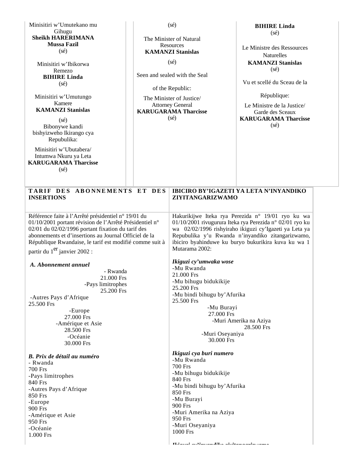| Minisitiri w'Umutekano mu<br>Gihugu                                                                                                                                                                                                                                                                                                                                                                                                                                                       |                                               | $(s\acute{e})$                                                                                                                                                                                                                      | <b>BIHIRE Linda</b><br>$(s\acute{e})$                                                                                                                                                                                                                                               |
|-------------------------------------------------------------------------------------------------------------------------------------------------------------------------------------------------------------------------------------------------------------------------------------------------------------------------------------------------------------------------------------------------------------------------------------------------------------------------------------------|-----------------------------------------------|-------------------------------------------------------------------------------------------------------------------------------------------------------------------------------------------------------------------------------------|-------------------------------------------------------------------------------------------------------------------------------------------------------------------------------------------------------------------------------------------------------------------------------------|
| <b>Sheikh HARERIMANA</b><br><b>Mussa Fazil</b><br>$(s\acute{e})$                                                                                                                                                                                                                                                                                                                                                                                                                          | The Minister of Natural<br>Resources          |                                                                                                                                                                                                                                     | Le Ministre des Ressources                                                                                                                                                                                                                                                          |
| Minisitiri w'Ibikorwa                                                                                                                                                                                                                                                                                                                                                                                                                                                                     | <b>KAMANZI Stanislas</b><br>(sé)              |                                                                                                                                                                                                                                     | <b>Naturelles</b><br><b>KAMANZI Stanislas</b>                                                                                                                                                                                                                                       |
| Remezo<br><b>BIHIRE Linda</b>                                                                                                                                                                                                                                                                                                                                                                                                                                                             |                                               | Seen and sealed with the Seal                                                                                                                                                                                                       | (sé)                                                                                                                                                                                                                                                                                |
| $(s\acute{e})$                                                                                                                                                                                                                                                                                                                                                                                                                                                                            |                                               | of the Republic:                                                                                                                                                                                                                    | Vu et scellé du Sceau de la                                                                                                                                                                                                                                                         |
| Minisitiri w'Umutungo<br>Kamere                                                                                                                                                                                                                                                                                                                                                                                                                                                           |                                               | The Minister of Justice/<br><b>Attorney General</b>                                                                                                                                                                                 | République:<br>Le Ministre de la Justice/                                                                                                                                                                                                                                           |
| <b>KAMANZI Stanislas</b><br>$(s\acute{e})$<br>Bibonywe kandi<br>bishyizweho Ikirango cya<br>Repubulika:                                                                                                                                                                                                                                                                                                                                                                                   | <b>KARUGARAMA Tharcisse</b><br>$(s\acute{e})$ |                                                                                                                                                                                                                                     | Garde des Sceaux<br><b>KARUGARAMA Tharcisse</b><br>$(s\acute{e})$                                                                                                                                                                                                                   |
| Minisitiri w'Ubutabera/<br>Intumwa Nkuru ya Leta<br><b>KARUGARAMA Tharcisse</b><br>$(s\acute{e})$                                                                                                                                                                                                                                                                                                                                                                                         |                                               |                                                                                                                                                                                                                                     |                                                                                                                                                                                                                                                                                     |
| TARIF DES ABONNEMENTS ET DES<br><b>INSERTIONS</b>                                                                                                                                                                                                                                                                                                                                                                                                                                         |                                               | ZIYITANGARIZWAMO                                                                                                                                                                                                                    | IBICIRO BY'IGAZETI YA LETA N'INYANDIKO                                                                                                                                                                                                                                              |
| Référence faite à l'Arrêté présidentiel n° 19/01 du<br>01/10/2001 portant révision de l'Arrêté Présidentiel n°<br>02/01 du 02/02/1996 portant fixation du tarif des<br>abonnements et d'insertions au Journal Officiel de la<br>République Rwandaise, le tarif est modifié comme suit à<br>partir du 1 <sup>er</sup> janvier 2002 :<br>A. Abonnement annuel<br>- Rwanda<br>21.000 Frs<br>-Pays limitrophes<br>25.200 Frs<br>-Autres Pays d'Afrique<br>25.500 Frs<br>-Europe<br>27.000 Frs |                                               | Mutarama 2002:<br>Ikiguzi cy'umwaka wose<br>-Mu Rwanda<br>21.000 Frs<br>-Mu bihugu bidukikije<br>25.200 Frs<br>-Mu bindi bihugu by' Afurika<br>25.500 Frs<br>-Mu Burayi<br>27.000 Frs                                               | Hakurikijwe Iteka rya Perezida n° 19/01 ryo ku wa<br>01/10/2001 rivugurura Iteka rya Perezida n° 02/01 ryo ku<br>wa 02/02/1996 rishyiraho ikiguzi cy'Igazeti ya Leta ya<br>Repubulika y'u Rwanda n'inyandiko zitangarizwamo,<br>ibiciro byahinduwe ku buryo bukurikira kuva ku wa 1 |
| -Amérique et Asie<br>28.500 Frs<br>-Océanie<br>30.000 Frs                                                                                                                                                                                                                                                                                                                                                                                                                                 |                                               | -Muri Amerika na Aziya<br>28.500 Frs<br>-Muri Oseyaniya<br>30.000 Frs                                                                                                                                                               |                                                                                                                                                                                                                                                                                     |
| B. Prix de détail au numéro<br>- Rwanda<br><b>700 Frs</b><br>-Pays limitrophes<br>840 Frs<br>-Autres Pays d'Afrique<br>850 Frs<br>-Europe<br>900 Frs<br>-Amérique et Asie<br>950 Frs<br>-Océanie<br>1.000 Frs                                                                                                                                                                                                                                                                             |                                               | Ikiguzi cya buri numero<br>-Mu Rwanda<br><b>700 Frs</b><br>-Mu bihugu bidukikije<br>840 Frs<br>-Mu bindi bihugu by' Afurika<br>850 Frs<br>-Mu Burayi<br>900 Frs<br>-Muri Amerika na Aziya<br>950 Frs<br>-Muri Oseyaniya<br>1000 Frs |                                                                                                                                                                                                                                                                                     |
|                                                                                                                                                                                                                                                                                                                                                                                                                                                                                           |                                               | Heighted and increased that education and constant                                                                                                                                                                                  |                                                                                                                                                                                                                                                                                     |